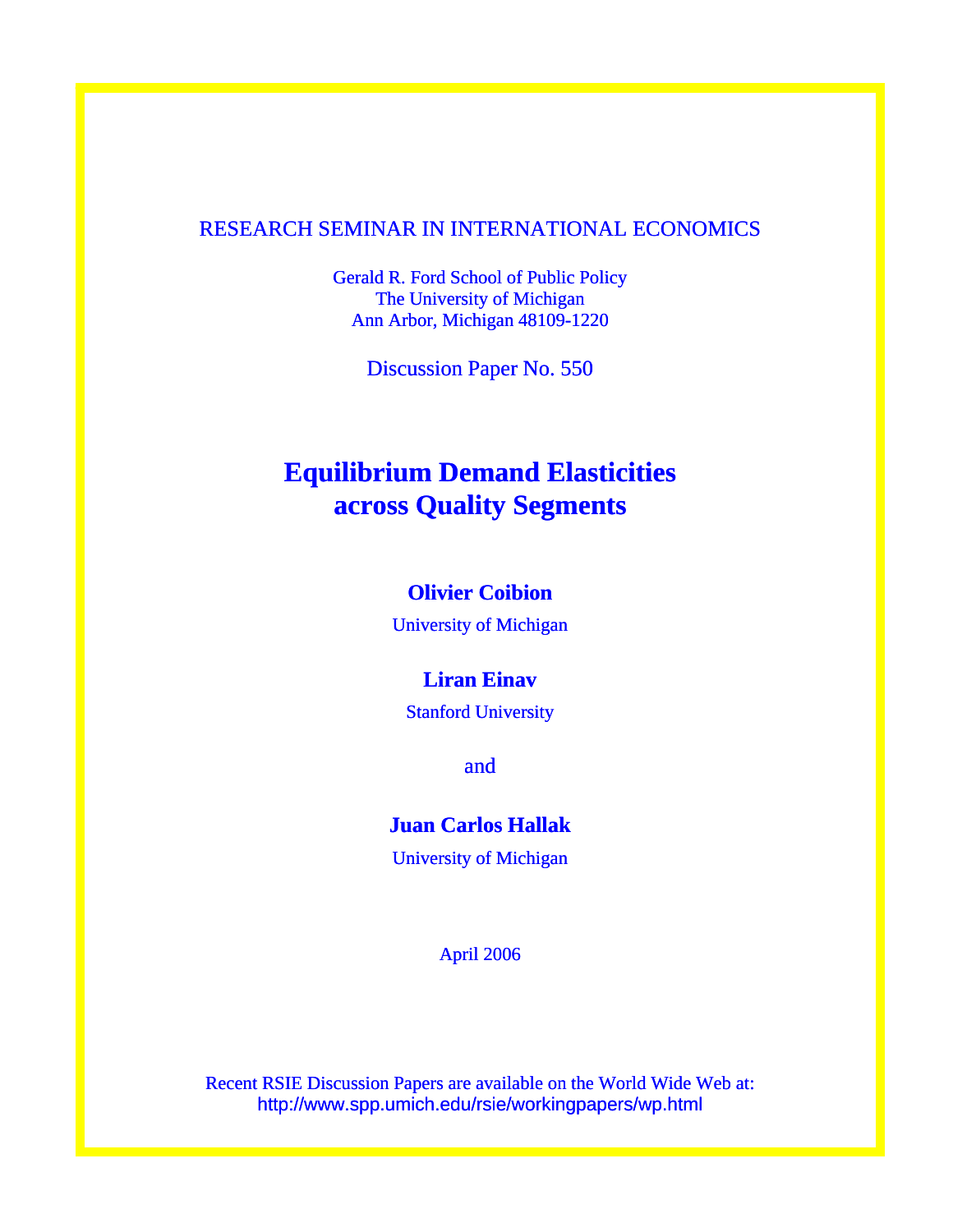# RESEARCH SEMINAR IN INTERNATIONAL ECONOMICS

Gerald R. Ford School of Public Policy The University of Michigan Ann Arbor, Michigan 48109-1220

Discussion Paper No. 550

# **Equilibrium Demand Elasticities across Quality Segments**

# **Olivier Coibion**

University of Michigan

# **Liran Einav**

Stanford University

and

# **Juan Carlos Hallak**

University of Michigan

April 2006

Recent RSIE Discussion Papers are available on the World Wide Web at: http://www.spp.umich.edu/rsie/workingpapers/wp.html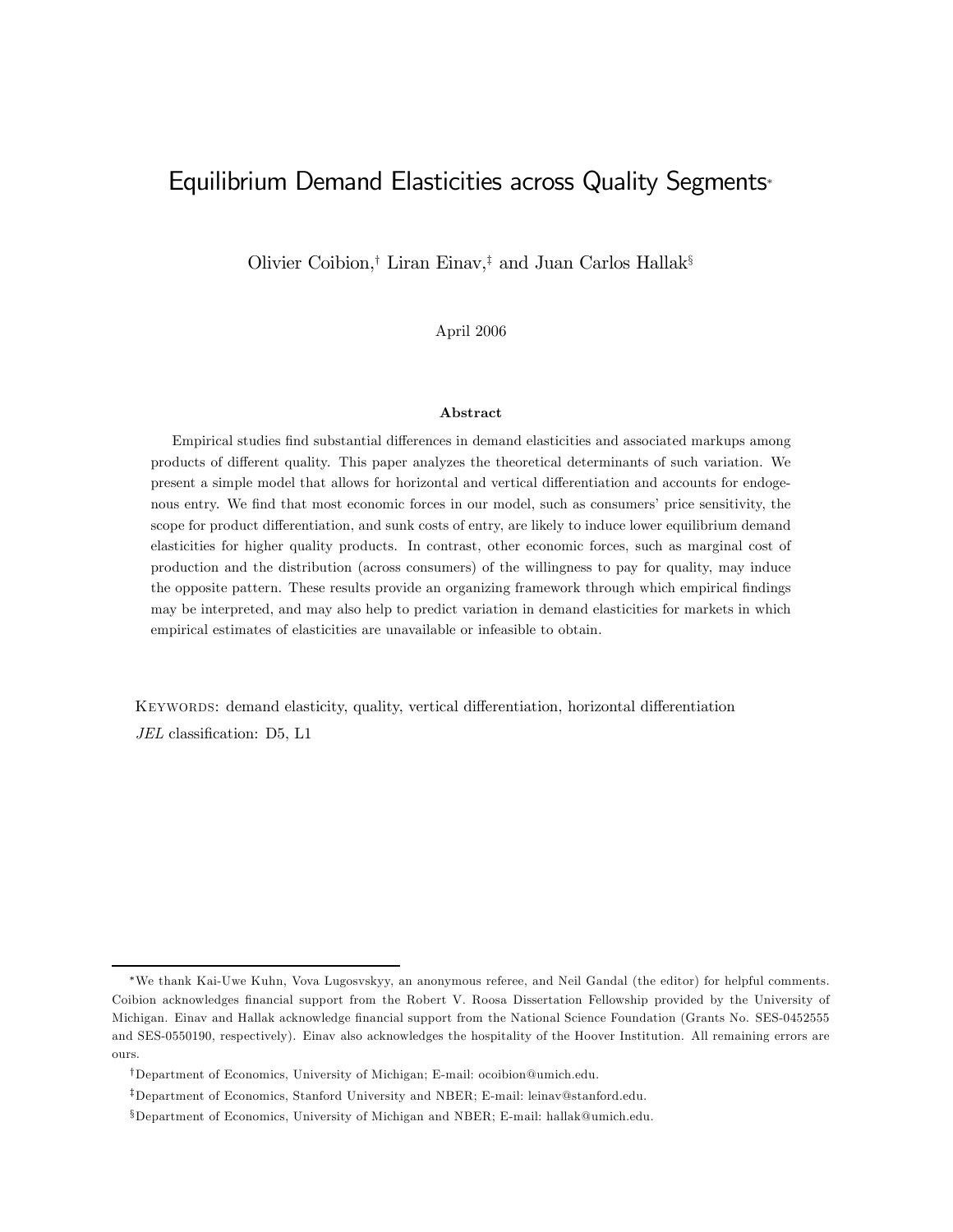# Equilibrium Demand Elasticities across Quality Segments<sup>∗</sup>

Olivier Coibion,† Liran Einav,‡ and Juan Carlos Hallak§

April 2006

### Abstract

Empirical studies find substantial differences in demand elasticities and associated markups among products of different quality. This paper analyzes the theoretical determinants of such variation. We present a simple model that allows for horizontal and vertical differentiation and accounts for endogenous entry. We find that most economic forces in our model, such as consumers' price sensitivity, the scope for product differentiation, and sunk costs of entry, are likely to induce lower equilibrium demand elasticities for higher quality products. In contrast, other economic forces, such as marginal cost of production and the distribution (across consumers) of the willingness to pay for quality, may induce the opposite pattern. These results provide an organizing framework through which empirical findings may be interpreted, and may also help to predict variation in demand elasticities for markets in which empirical estimates of elasticities are unavailable or infeasible to obtain.

Keywords: demand elasticity, quality, vertical differentiation, horizontal differentiation JEL classification: D5, L1

<sup>∗</sup>We thank Kai-Uwe Kuhn, Vova Lugosvskyy, an anonymous referee, and Neil Gandal (the editor) for helpful comments. Coibion acknowledges financial support from the Robert V. Roosa Dissertation Fellowship provided by the University of Michigan. Einav and Hallak acknowledge financial support from the National Science Foundation (Grants No. SES-0452555 and SES-0550190, respectively). Einav also acknowledges the hospitality of the Hoover Institution. All remaining errors are ours.

<sup>†</sup>Department of Economics, University of Michigan; E-mail: ocoibion@umich.edu.

<sup>‡</sup>Department of Economics, Stanford University and NBER; E-mail: leinav@stanford.edu.

<sup>§</sup>Department of Economics, University of Michigan and NBER; E-mail: hallak@umich.edu.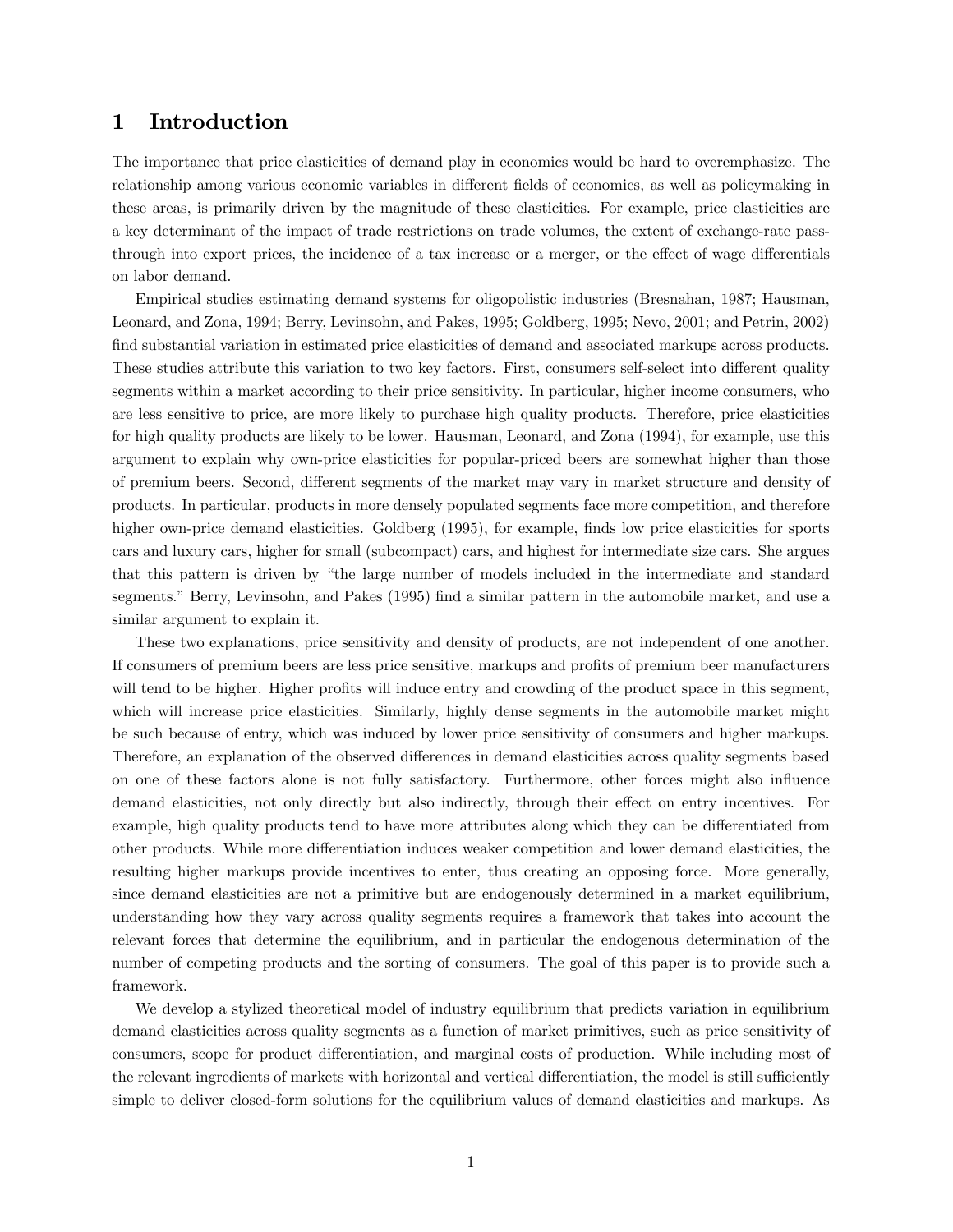## 1 Introduction

The importance that price elasticities of demand play in economics would be hard to overemphasize. The relationship among various economic variables in different fields of economics, as well as policymaking in these areas, is primarily driven by the magnitude of these elasticities. For example, price elasticities are a key determinant of the impact of trade restrictions on trade volumes, the extent of exchange-rate passthrough into export prices, the incidence of a tax increase or a merger, or the effect of wage differentials on labor demand.

Empirical studies estimating demand systems for oligopolistic industries (Bresnahan, 1987; Hausman, Leonard, and Zona, 1994; Berry, Levinsohn, and Pakes, 1995; Goldberg, 1995; Nevo, 2001; and Petrin, 2002) find substantial variation in estimated price elasticities of demand and associated markups across products. These studies attribute this variation to two key factors. First, consumers self-select into different quality segments within a market according to their price sensitivity. In particular, higher income consumers, who are less sensitive to price, are more likely to purchase high quality products. Therefore, price elasticities for high quality products are likely to be lower. Hausman, Leonard, and Zona (1994), for example, use this argument to explain why own-price elasticities for popular-priced beers are somewhat higher than those of premium beers. Second, different segments of the market may vary in market structure and density of products. In particular, products in more densely populated segments face more competition, and therefore higher own-price demand elasticities. Goldberg (1995), for example, finds low price elasticities for sports cars and luxury cars, higher for small (subcompact) cars, and highest for intermediate size cars. She argues that this pattern is driven by "the large number of models included in the intermediate and standard segments." Berry, Levinsohn, and Pakes (1995) find a similar pattern in the automobile market, and use a similar argument to explain it.

These two explanations, price sensitivity and density of products, are not independent of one another. If consumers of premium beers are less price sensitive, markups and profits of premium beer manufacturers will tend to be higher. Higher profits will induce entry and crowding of the product space in this segment, which will increase price elasticities. Similarly, highly dense segments in the automobile market might be such because of entry, which was induced by lower price sensitivity of consumers and higher markups. Therefore, an explanation of the observed differences in demand elasticities across quality segments based on one of these factors alone is not fully satisfactory. Furthermore, other forces might also influence demand elasticities, not only directly but also indirectly, through their effect on entry incentives. For example, high quality products tend to have more attributes along which they can be differentiated from other products. While more differentiation induces weaker competition and lower demand elasticities, the resulting higher markups provide incentives to enter, thus creating an opposing force. More generally, since demand elasticities are not a primitive but are endogenously determined in a market equilibrium, understanding how they vary across quality segments requires a framework that takes into account the relevant forces that determine the equilibrium, and in particular the endogenous determination of the number of competing products and the sorting of consumers. The goal of this paper is to provide such a framework.

We develop a stylized theoretical model of industry equilibrium that predicts variation in equilibrium demand elasticities across quality segments as a function of market primitives, such as price sensitivity of consumers, scope for product differentiation, and marginal costs of production. While including most of the relevant ingredients of markets with horizontal and vertical differentiation, the model is still sufficiently simple to deliver closed-form solutions for the equilibrium values of demand elasticities and markups. As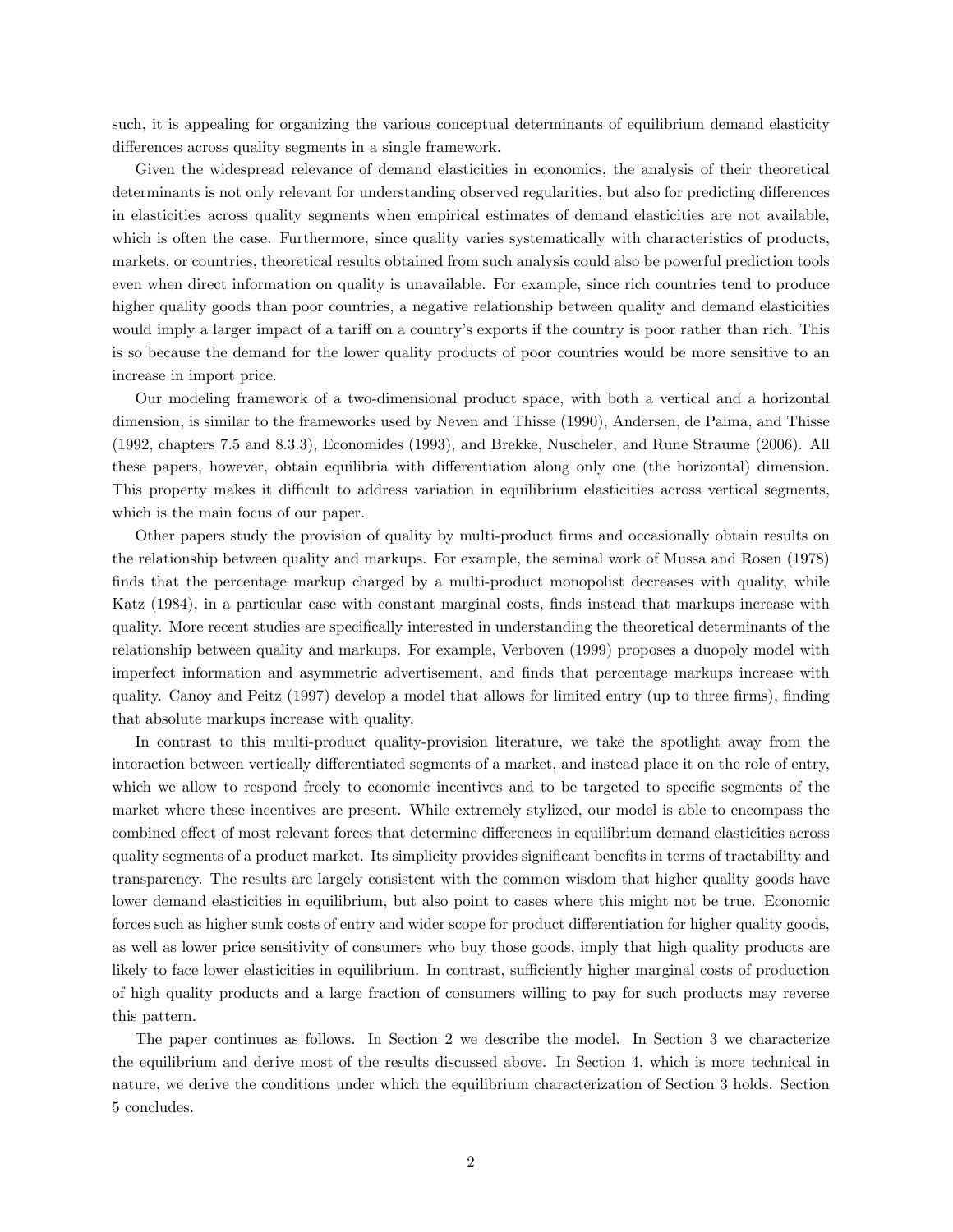such, it is appealing for organizing the various conceptual determinants of equilibrium demand elasticity differences across quality segments in a single framework.

Given the widespread relevance of demand elasticities in economics, the analysis of their theoretical determinants is not only relevant for understanding observed regularities, but also for predicting differences in elasticities across quality segments when empirical estimates of demand elasticities are not available, which is often the case. Furthermore, since quality varies systematically with characteristics of products, markets, or countries, theoretical results obtained from such analysis could also be powerful prediction tools even when direct information on quality is unavailable. For example, since rich countries tend to produce higher quality goods than poor countries, a negative relationship between quality and demand elasticities would imply a larger impact of a tariff on a country's exports if the country is poor rather than rich. This is so because the demand for the lower quality products of poor countries would be more sensitive to an increase in import price.

Our modeling framework of a two-dimensional product space, with both a vertical and a horizontal dimension, is similar to the frameworks used by Neven and Thisse (1990), Andersen, de Palma, and Thisse (1992, chapters 7.5 and 8.3.3), Economides (1993), and Brekke, Nuscheler, and Rune Straume (2006). All these papers, however, obtain equilibria with differentiation along only one (the horizontal) dimension. This property makes it difficult to address variation in equilibrium elasticities across vertical segments, which is the main focus of our paper.

Other papers study the provision of quality by multi-product firms and occasionally obtain results on the relationship between quality and markups. For example, the seminal work of Mussa and Rosen (1978) finds that the percentage markup charged by a multi-product monopolist decreases with quality, while Katz (1984), in a particular case with constant marginal costs, finds instead that markups increase with quality. More recent studies are specifically interested in understanding the theoretical determinants of the relationship between quality and markups. For example, Verboven (1999) proposes a duopoly model with imperfect information and asymmetric advertisement, and finds that percentage markups increase with quality. Canoy and Peitz (1997) develop a model that allows for limited entry (up to three firms), finding that absolute markups increase with quality.

In contrast to this multi-product quality-provision literature, we take the spotlight away from the interaction between vertically differentiated segments of a market, and instead place it on the role of entry, which we allow to respond freely to economic incentives and to be targeted to specific segments of the market where these incentives are present. While extremely stylized, our model is able to encompass the combined effect of most relevant forces that determine differences in equilibrium demand elasticities across quality segments of a product market. Its simplicity provides significant benefits in terms of tractability and transparency. The results are largely consistent with the common wisdom that higher quality goods have lower demand elasticities in equilibrium, but also point to cases where this might not be true. Economic forces such as higher sunk costs of entry and wider scope for product differentiation for higher quality goods, as well as lower price sensitivity of consumers who buy those goods, imply that high quality products are likely to face lower elasticities in equilibrium. In contrast, sufficiently higher marginal costs of production of high quality products and a large fraction of consumers willing to pay for such products may reverse this pattern.

The paper continues as follows. In Section 2 we describe the model. In Section 3 we characterize the equilibrium and derive most of the results discussed above. In Section 4, which is more technical in nature, we derive the conditions under which the equilibrium characterization of Section 3 holds. Section 5 concludes.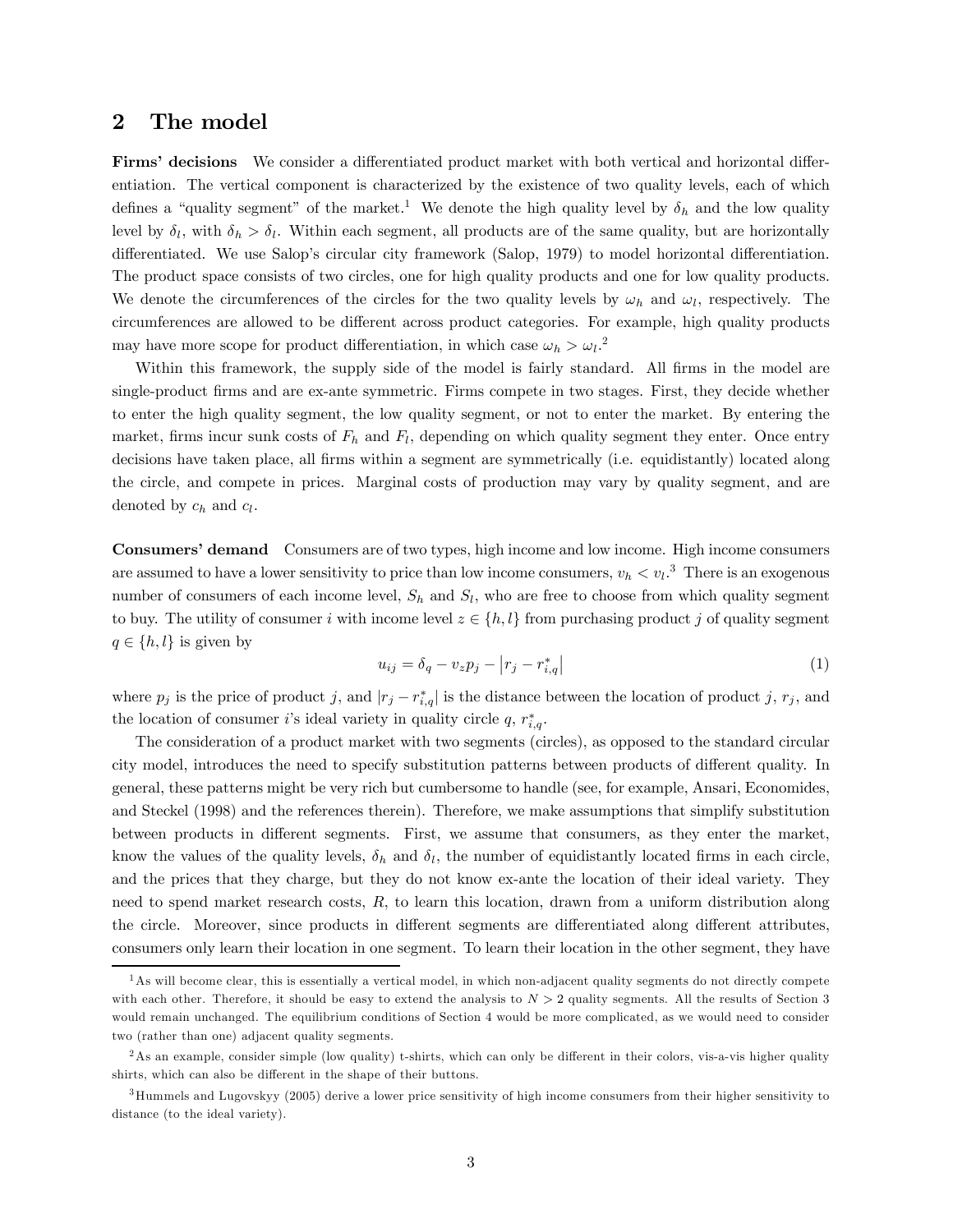### 2 The model

Firms' decisions We consider a differentiated product market with both vertical and horizontal differentiation. The vertical component is characterized by the existence of two quality levels, each of which defines a "quality segment" of the market.<sup>1</sup> We denote the high quality level by  $\delta_h$  and the low quality level by  $\delta_l$ , with  $\delta_h > \delta_l$ . Within each segment, all products are of the same quality, but are horizontally differentiated. We use Salop's circular city framework (Salop, 1979) to model horizontal differentiation. The product space consists of two circles, one for high quality products and one for low quality products. We denote the circumferences of the circles for the two quality levels by  $\omega_h$  and  $\omega_l$ , respectively. The circumferences are allowed to be different across product categories. For example, high quality products may have more scope for product differentiation, in which case  $\omega_h > \omega_l$ <sup>2</sup>

Within this framework, the supply side of the model is fairly standard. All firms in the model are single-product firms and are ex-ante symmetric. Firms compete in two stages. First, they decide whether to enter the high quality segment, the low quality segment, or not to enter the market. By entering the market, firms incur sunk costs of  $F_h$  and  $F_l$ , depending on which quality segment they enter. Once entry decisions have taken place, all firms within a segment are symmetrically (i.e. equidistantly) located along the circle, and compete in prices. Marginal costs of production may vary by quality segment, and are denoted by  $c_h$  and  $c_l$ .

Consumers' demand Consumers are of two types, high income and low income. High income consumers are assumed to have a lower sensitivity to price than low income consumers,  $v_h < v_l$ .<sup>3</sup> There is an exogenous number of consumers of each income level,  $S_h$  and  $S_l$ , who are free to choose from which quality segment to buy. The utility of consumer i with income level  $z \in \{h, l\}$  from purchasing product j of quality segment  $q \in \{h, l\}$  is given by

$$
u_{ij} = \delta_q - v_z p_j - |r_j - r_{i,q}^*|
$$
 (1)

where  $p_j$  is the price of product j, and  $|r_j - r_{i,q}^*|$  is the distance between the location of product j,  $r_j$ , and the location of consumer i's ideal variety in quality circle  $q, r^*_{i,q}$ .

The consideration of a product market with two segments (circles), as opposed to the standard circular city model, introduces the need to specify substitution patterns between products of different quality. In general, these patterns might be very rich but cumbersome to handle (see, for example, Ansari, Economides, and Steckel (1998) and the references therein). Therefore, we make assumptions that simplify substitution between products in different segments. First, we assume that consumers, as they enter the market, know the values of the quality levels,  $\delta_h$  and  $\delta_l$ , the number of equidistantly located firms in each circle, and the prices that they charge, but they do not know ex-ante the location of their ideal variety. They need to spend market research costs, R, to learn this location, drawn from a uniform distribution along the circle. Moreover, since products in different segments are differentiated along different attributes, consumers only learn their location in one segment. To learn their location in the other segment, they have

<sup>&</sup>lt;sup>1</sup>As will become clear, this is essentially a vertical model, in which non-adjacent quality segments do not directly compete with each other. Therefore, it should be easy to extend the analysis to  $N > 2$  quality segments. All the results of Section 3 would remain unchanged. The equilibrium conditions of Section 4 would be more complicated, as we would need to consider two (rather than one) adjacent quality segments.

<sup>&</sup>lt;sup>2</sup>As an example, consider simple (low quality) t-shirts, which can only be different in their colors, vis-a-vis higher quality shirts, which can also be different in the shape of their buttons.

<sup>3</sup>Hummels and Lugovskyy (2005) derive a lower price sensitivity of high income consumers from their higher sensitivity to distance (to the ideal variety).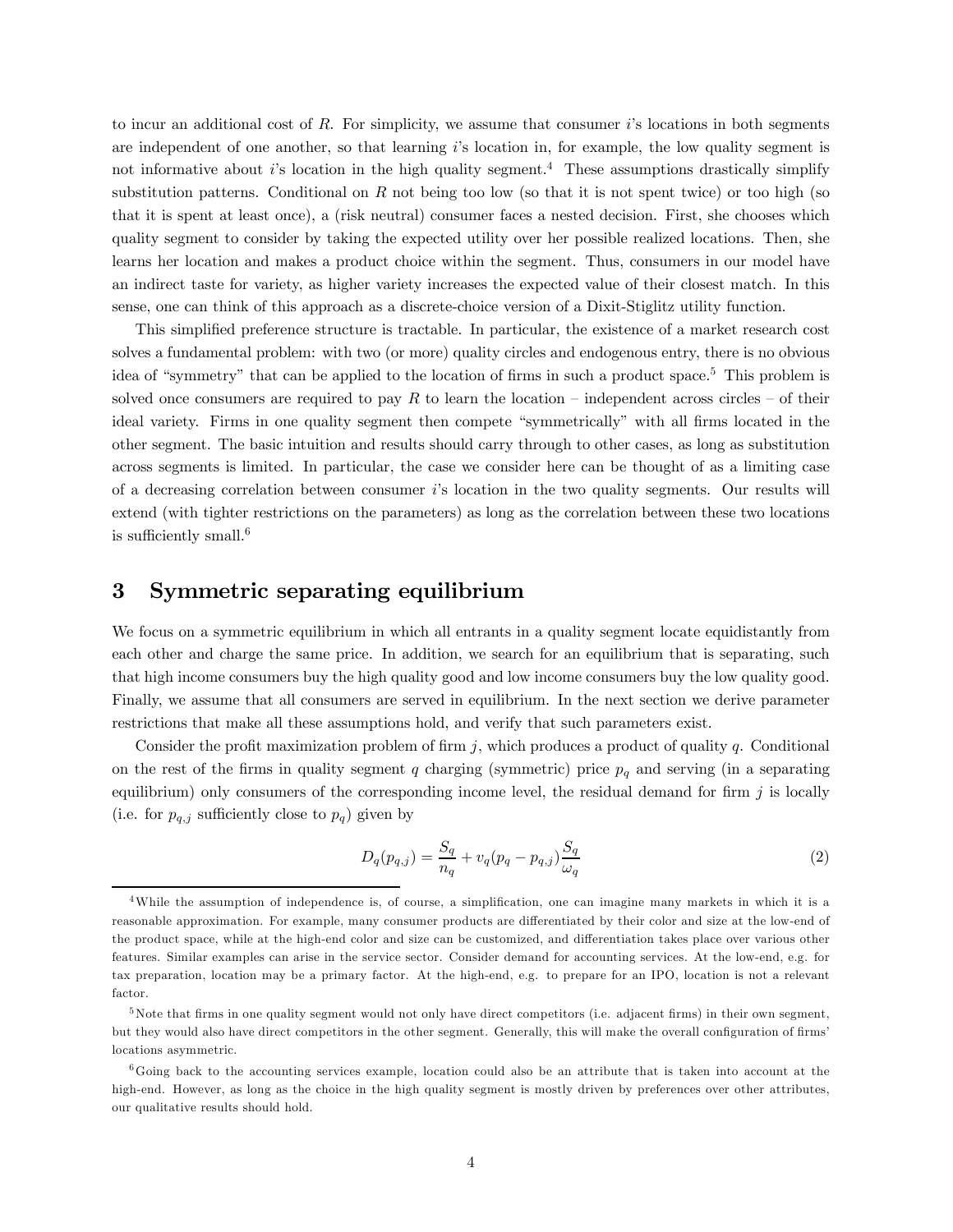to incur an additional cost of R. For simplicity, we assume that consumer  $i$ 's locations in both segments are independent of one another, so that learning is location in, for example, the low quality segment is not informative about i's location in the high quality segment.<sup>4</sup> These assumptions drastically simplify substitution patterns. Conditional on  $R$  not being too low (so that it is not spent twice) or too high (so that it is spent at least once), a (risk neutral) consumer faces a nested decision. First, she chooses which quality segment to consider by taking the expected utility over her possible realized locations. Then, she learns her location and makes a product choice within the segment. Thus, consumers in our model have an indirect taste for variety, as higher variety increases the expected value of their closest match. In this sense, one can think of this approach as a discrete-choice version of a Dixit-Stiglitz utility function.

This simplified preference structure is tractable. In particular, the existence of a market research cost solves a fundamental problem: with two (or more) quality circles and endogenous entry, there is no obvious idea of "symmetry" that can be applied to the location of firms in such a product space.<sup>5</sup> This problem is solved once consumers are required to pay R to learn the location – independent across circles – of their ideal variety. Firms in one quality segment then compete "symmetrically" with all firms located in the other segment. The basic intuition and results should carry through to other cases, as long as substitution across segments is limited. In particular, the case we consider here can be thought of as a limiting case of a decreasing correlation between consumer i's location in the two quality segments. Our results will extend (with tighter restrictions on the parameters) as long as the correlation between these two locations is sufficiently small.6

# 3 Symmetric separating equilibrium

We focus on a symmetric equilibrium in which all entrants in a quality segment locate equidistantly from each other and charge the same price. In addition, we search for an equilibrium that is separating, such that high income consumers buy the high quality good and low income consumers buy the low quality good. Finally, we assume that all consumers are served in equilibrium. In the next section we derive parameter restrictions that make all these assumptions hold, and verify that such parameters exist.

Consider the profit maximization problem of firm  $j$ , which produces a product of quality  $q$ . Conditional on the rest of the firms in quality segment q charging (symmetric) price  $p_q$  and serving (in a separating equilibrium) only consumers of the corresponding income level, the residual demand for firm  $j$  is locally (i.e. for  $p_{q,j}$  sufficiently close to  $p_q$ ) given by

$$
D_q(p_{q,j}) = \frac{S_q}{n_q} + v_q(p_q - p_{q,j}) \frac{S_q}{\omega_q}
$$
 (2)

<sup>4</sup>While the assumption of independence is, of course, a simplification, one can imagine many markets in which it is a reasonable approximation. For example, many consumer products are differentiated by their color and size at the low-end of the product space, while at the high-end color and size can be customized, and differentiation takes place over various other features. Similar examples can arise in the service sector. Consider demand for accounting services. At the low-end, e.g. for tax preparation, location may be a primary factor. At the high-end, e.g. to prepare for an IPO, location is not a relevant factor.

<sup>&</sup>lt;sup>5</sup>Note that firms in one quality segment would not only have direct competitors (i.e. adjacent firms) in their own segment, but they would also have direct competitors in the other segment. Generally, this will make the overall configuration of firms' locations asymmetric.

<sup>6</sup>Going back to the accounting services example, location could also be an attribute that is taken into account at the high-end. However, as long as the choice in the high quality segment is mostly driven by preferences over other attributes, our qualitative results should hold.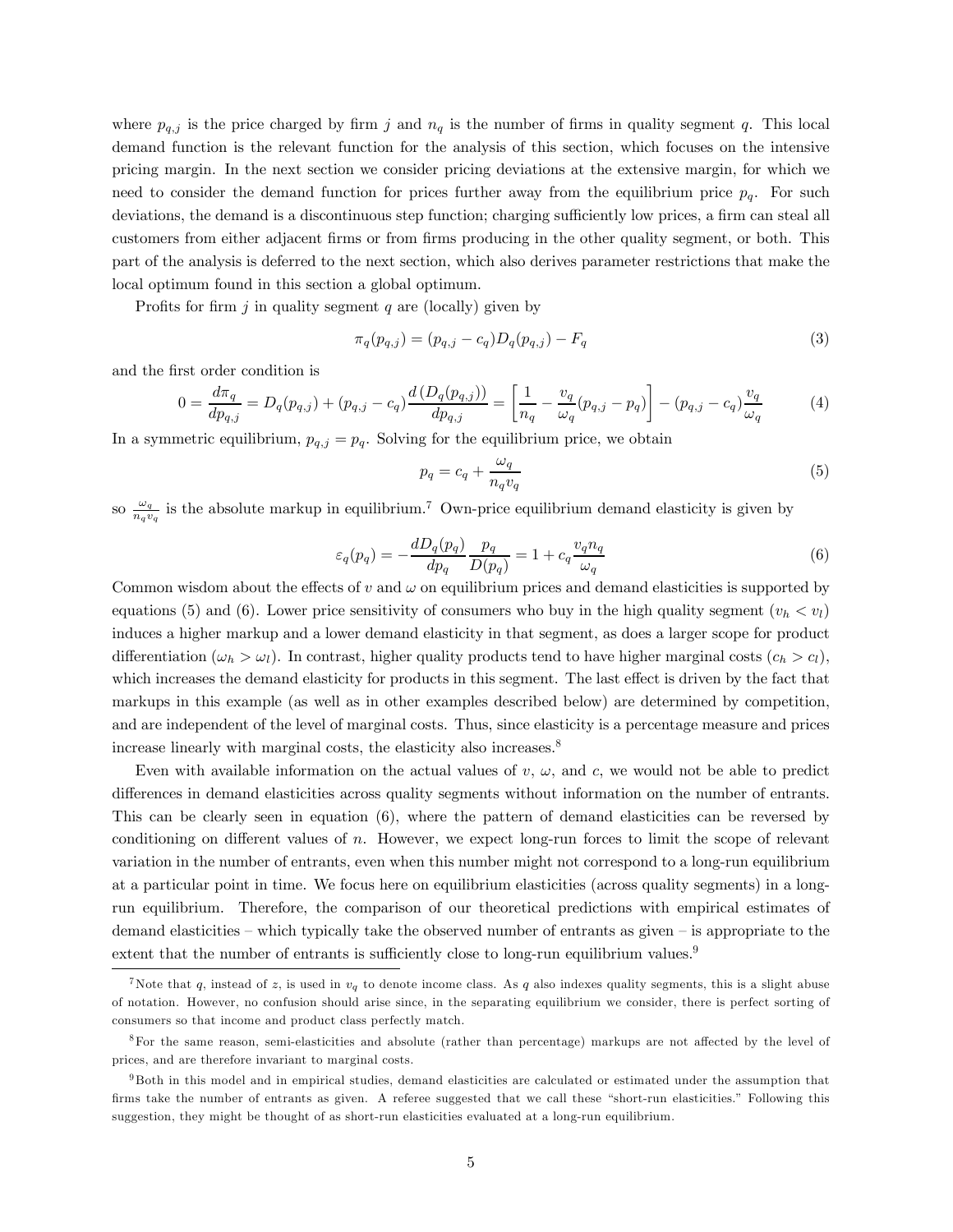where  $p_{q,j}$  is the price charged by firm j and  $n_q$  is the number of firms in quality segment q. This local demand function is the relevant function for the analysis of this section, which focuses on the intensive pricing margin. In the next section we consider pricing deviations at the extensive margin, for which we need to consider the demand function for prices further away from the equilibrium price  $p_q$ . For such deviations, the demand is a discontinuous step function; charging sufficiently low prices, a firm can steal all customers from either adjacent firms or from firms producing in the other quality segment, or both. This part of the analysis is deferred to the next section, which also derives parameter restrictions that make the local optimum found in this section a global optimum.

Profits for firm  $j$  in quality segment  $q$  are (locally) given by

$$
\pi_q(p_{q,j}) = (p_{q,j} - c_q)D_q(p_{q,j}) - F_q \tag{3}
$$

and the first order condition is

$$
0 = \frac{d\pi_q}{dp_{q,j}} = D_q(p_{q,j}) + (p_{q,j} - c_q) \frac{d(D_q(p_{q,j}))}{dp_{q,j}} = \left[\frac{1}{n_q} - \frac{v_q}{\omega_q}(p_{q,j} - p_q)\right] - (p_{q,j} - c_q) \frac{v_q}{\omega_q} \tag{4}
$$

In a symmetric equilibrium,  $p_{q,j} = p_q$ . Solving for the equilibrium price, we obtain

$$
p_q = c_q + \frac{\omega_q}{n_q v_q} \tag{5}
$$

so  $\frac{\omega_q}{n_qv_q}$  is the absolute markup in equilibrium.<sup>7</sup> Own-price equilibrium demand elasticity is given by

$$
\varepsilon_q(p_q) = -\frac{dD_q(p_q)}{dp_q} \frac{p_q}{D(p_q)} = 1 + c_q \frac{v_q n_q}{\omega_q} \tag{6}
$$

Common wisdom about the effects of v and  $\omega$  on equilibrium prices and demand elasticities is supported by equations (5) and (6). Lower price sensitivity of consumers who buy in the high quality segment  $(v_h < v_l)$ induces a higher markup and a lower demand elasticity in that segment, as does a larger scope for product differentiation  $(\omega_h > \omega_l)$ . In contrast, higher quality products tend to have higher marginal costs  $(c_h > c_l)$ , which increases the demand elasticity for products in this segment. The last effect is driven by the fact that markups in this example (as well as in other examples described below) are determined by competition, and are independent of the level of marginal costs. Thus, since elasticity is a percentage measure and prices increase linearly with marginal costs, the elasticity also increases.<sup>8</sup>

Even with available information on the actual values of  $v, \omega$ , and  $c$ , we would not be able to predict differences in demand elasticities across quality segments without information on the number of entrants. This can be clearly seen in equation (6), where the pattern of demand elasticities can be reversed by conditioning on different values of n. However, we expect long-run forces to limit the scope of relevant variation in the number of entrants, even when this number might not correspond to a long-run equilibrium at a particular point in time. We focus here on equilibrium elasticities (across quality segments) in a longrun equilibrium. Therefore, the comparison of our theoretical predictions with empirical estimates of demand elasticities — which typically take the observed number of entrants as given — is appropriate to the extent that the number of entrants is sufficiently close to long-run equilibrium values.<sup>9</sup>

<sup>&</sup>lt;sup>7</sup>Note that q, instead of z, is used in  $v_q$  to denote income class. As q also indexes quality segments, this is a slight abuse of notation. However, no confusion should arise since, in the separating equilibrium we consider, there is perfect sorting of consumers so that income and product class perfectly match.

<sup>8</sup>For the same reason, semi-elasticities and absolute (rather than percentage) markups are not affected by the level of prices, and are therefore invariant to marginal costs.

<sup>9</sup> Both in this model and in empirical studies, demand elasticities are calculated or estimated under the assumption that firms take the number of entrants as given. A referee suggested that we call these "short-run elasticities." Following this suggestion, they might be thought of as short-run elasticities evaluated at a long-run equilibrium.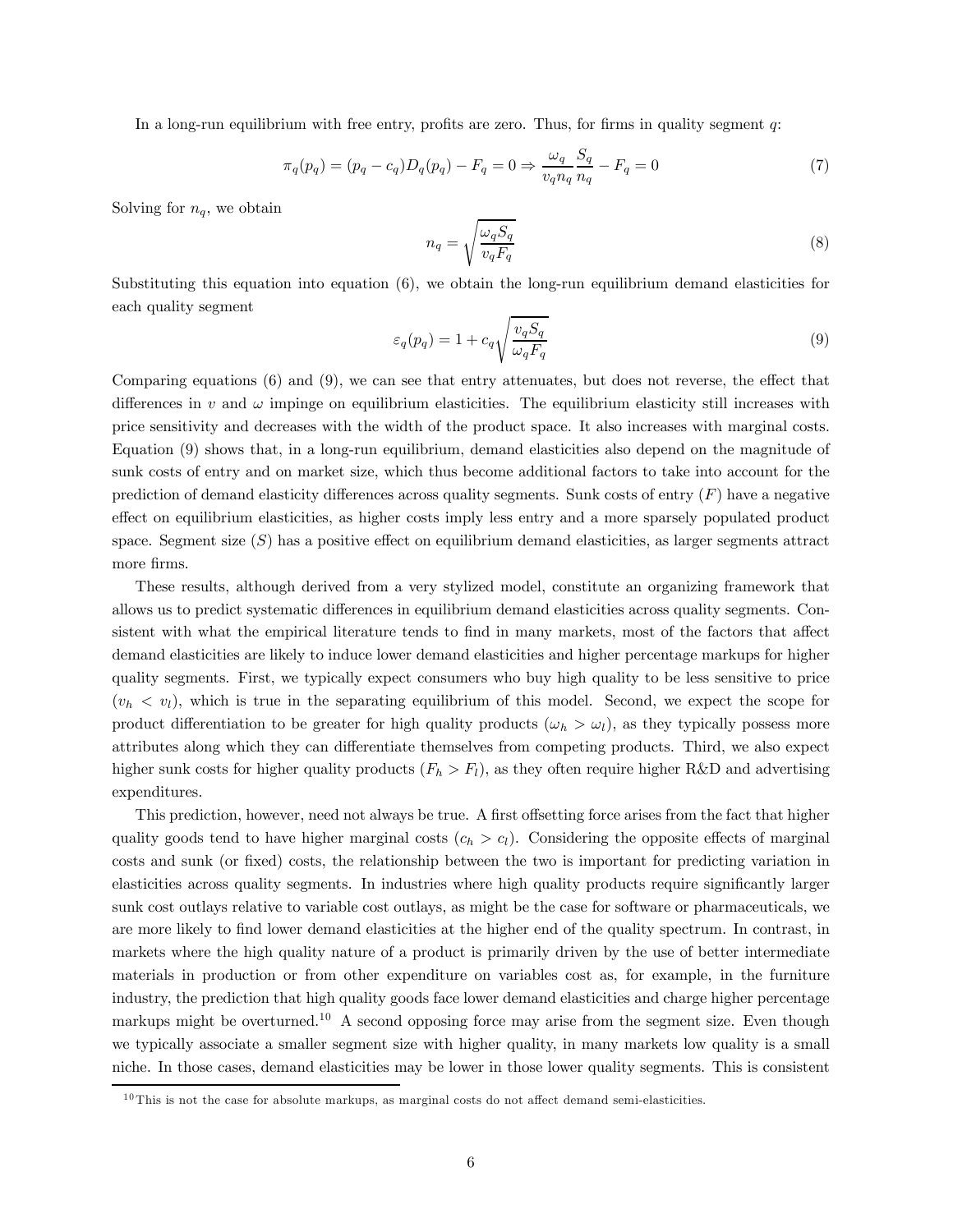In a long-run equilibrium with free entry, profits are zero. Thus, for firms in quality segment q:

$$
\pi_q(p_q) = (p_q - c_q)D_q(p_q) - F_q = 0 \Rightarrow \frac{\omega_q}{v_q n_q} \frac{S_q}{n_q} - F_q = 0 \tag{7}
$$

Solving for  $n_q$ , we obtain

$$
n_q = \sqrt{\frac{\omega_q S_q}{v_q F_q}}\tag{8}
$$

Substituting this equation into equation (6), we obtain the long-run equilibrium demand elasticities for each quality segment

$$
\varepsilon_q(p_q) = 1 + c_q \sqrt{\frac{v_q S_q}{\omega_q F_q}}\tag{9}
$$

Comparing equations (6) and (9), we can see that entry attenuates, but does not reverse, the effect that differences in v and  $\omega$  impinge on equilibrium elasticities. The equilibrium elasticity still increases with price sensitivity and decreases with the width of the product space. It also increases with marginal costs. Equation (9) shows that, in a long-run equilibrium, demand elasticities also depend on the magnitude of sunk costs of entry and on market size, which thus become additional factors to take into account for the prediction of demand elasticity differences across quality segments. Sunk costs of entry  $(F)$  have a negative effect on equilibrium elasticities, as higher costs imply less entry and a more sparsely populated product space. Segment size  $(S)$  has a positive effect on equilibrium demand elasticities, as larger segments attract more firms.

These results, although derived from a very stylized model, constitute an organizing framework that allows us to predict systematic differences in equilibrium demand elasticities across quality segments. Consistent with what the empirical literature tends to find in many markets, most of the factors that affect demand elasticities are likely to induce lower demand elasticities and higher percentage markups for higher quality segments. First, we typically expect consumers who buy high quality to be less sensitive to price  $(v_h \langle v_l \rangle)$ , which is true in the separating equilibrium of this model. Second, we expect the scope for product differentiation to be greater for high quality products  $(\omega_h > \omega_l)$ , as they typically possess more attributes along which they can differentiate themselves from competing products. Third, we also expect higher sunk costs for higher quality products  $(F_h > F_l)$ , as they often require higher R&D and advertising expenditures.

This prediction, however, need not always be true. A first offsetting force arises from the fact that higher quality goods tend to have higher marginal costs  $(c_h > c_l)$ . Considering the opposite effects of marginal costs and sunk (or fixed) costs, the relationship between the two is important for predicting variation in elasticities across quality segments. In industries where high quality products require significantly larger sunk cost outlays relative to variable cost outlays, as might be the case for software or pharmaceuticals, we are more likely to find lower demand elasticities at the higher end of the quality spectrum. In contrast, in markets where the high quality nature of a product is primarily driven by the use of better intermediate materials in production or from other expenditure on variables cost as, for example, in the furniture industry, the prediction that high quality goods face lower demand elasticities and charge higher percentage markups might be overturned.<sup>10</sup> A second opposing force may arise from the segment size. Even though we typically associate a smaller segment size with higher quality, in many markets low quality is a small niche. In those cases, demand elasticities may be lower in those lower quality segments. This is consistent

 $10$ This is not the case for absolute markups, as marginal costs do not affect demand semi-elasticities.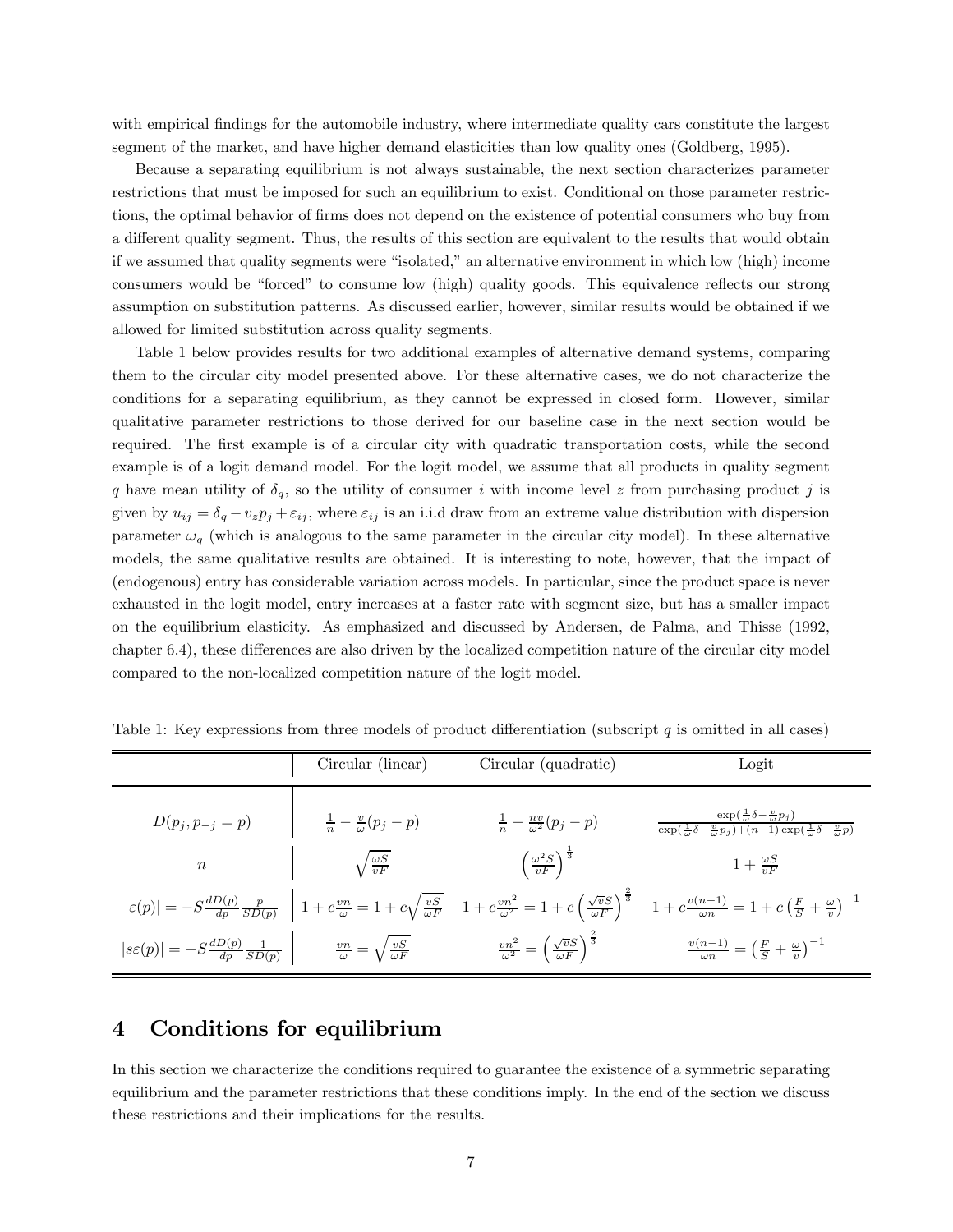with empirical findings for the automobile industry, where intermediate quality cars constitute the largest segment of the market, and have higher demand elasticities than low quality ones (Goldberg, 1995).

Because a separating equilibrium is not always sustainable, the next section characterizes parameter restrictions that must be imposed for such an equilibrium to exist. Conditional on those parameter restrictions, the optimal behavior of firms does not depend on the existence of potential consumers who buy from a different quality segment. Thus, the results of this section are equivalent to the results that would obtain if we assumed that quality segments were "isolated," an alternative environment in which low (high) income consumers would be "forced" to consume low (high) quality goods. This equivalence reflects our strong assumption on substitution patterns. As discussed earlier, however, similar results would be obtained if we allowed for limited substitution across quality segments.

Table 1 below provides results for two additional examples of alternative demand systems, comparing them to the circular city model presented above. For these alternative cases, we do not characterize the conditions for a separating equilibrium, as they cannot be expressed in closed form. However, similar qualitative parameter restrictions to those derived for our baseline case in the next section would be required. The first example is of a circular city with quadratic transportation costs, while the second example is of a logit demand model. For the logit model, we assume that all products in quality segment q have mean utility of  $\delta_q$ , so the utility of consumer i with income level z from purchasing product j is given by  $u_{ij} = \delta_q - v_z p_j + \varepsilon_{ij}$ , where  $\varepsilon_{ij}$  is an i.i.d draw from an extreme value distribution with dispersion parameter  $\omega_q$  (which is analogous to the same parameter in the circular city model). In these alternative models, the same qualitative results are obtained. It is interesting to note, however, that the impact of (endogenous) entry has considerable variation across models. In particular, since the product space is never exhausted in the logit model, entry increases at a faster rate with segment size, but has a smaller impact on the equilibrium elasticity. As emphasized and discussed by Andersen, de Palma, and Thisse (1992, chapter 6.4), these differences are also driven by the localized competition nature of the circular city model compared to the non-localized competition nature of the logit model.

|                                                                                                                 | Circular (linear)                         | Circular (quadratic)                                                              | Logit                                                                                                                                                                                                                                                                                            |
|-----------------------------------------------------------------------------------------------------------------|-------------------------------------------|-----------------------------------------------------------------------------------|--------------------------------------------------------------------------------------------------------------------------------------------------------------------------------------------------------------------------------------------------------------------------------------------------|
| $D(p_j, p_{-j} = p)$                                                                                            | $\frac{1}{n} - \frac{v}{\omega}(p_j - p)$ | $\frac{1}{n} - \frac{nv}{\omega^2}(p_j - p)$                                      | $\exp(\frac{1}{\omega}\delta - \frac{v}{\omega}p_j)$<br>$\frac{1}{\exp(\frac{1}{\omega}\delta-\frac{v}{\omega}p_j)+(n-1)\exp(\frac{1}{\omega}\delta-\frac{v}{\omega}p)}$                                                                                                                         |
| $\boldsymbol{n}$                                                                                                | $\sqrt{\frac{\omega S}{vF}}$              | $\left(\frac{\omega^2 S}{vF}\right)^{\frac{1}{3}}$                                | $1+\frac{\omega S}{vF}$                                                                                                                                                                                                                                                                          |
|                                                                                                                 |                                           |                                                                                   | $ \varepsilon(p) =-S\frac{dD(p)}{dp}\frac{p}{SD(p)}\ \left \ 1+c\frac{vn}{\omega}=1+c\sqrt{\frac{vS}{\omega F}}\quad 1+c\frac{vn^2}{\omega^2}=1+c\left(\frac{\sqrt{v}S}{\omega F}\right)^{\frac{2}{3}}\quad 1+c\frac{v(n-1)}{\omega n}=1+c\left(\frac{F}{S}+\frac{\omega}{v}\right)^{-1}\right.$ |
| $ s\varepsilon(p)  = -S\frac{dD(p)}{dp}\frac{1}{SD(p)}$ $\qquad \frac{vn}{\omega} = \sqrt{\frac{vS}{\omega F}}$ |                                           | $\frac{v n^2}{\omega^2} = \left(\frac{\sqrt{v} S}{\omega F}\right)^{\frac{2}{3}}$ | $\frac{v(n-1)}{\omega n} = \left(\frac{F}{S} + \frac{\omega}{n}\right)^{-1}$                                                                                                                                                                                                                     |

Table 1: Key expressions from three models of product differentiation (subscript  $q$  is omitted in all cases)

# 4 Conditions for equilibrium

In this section we characterize the conditions required to guarantee the existence of a symmetric separating equilibrium and the parameter restrictions that these conditions imply. In the end of the section we discuss these restrictions and their implications for the results.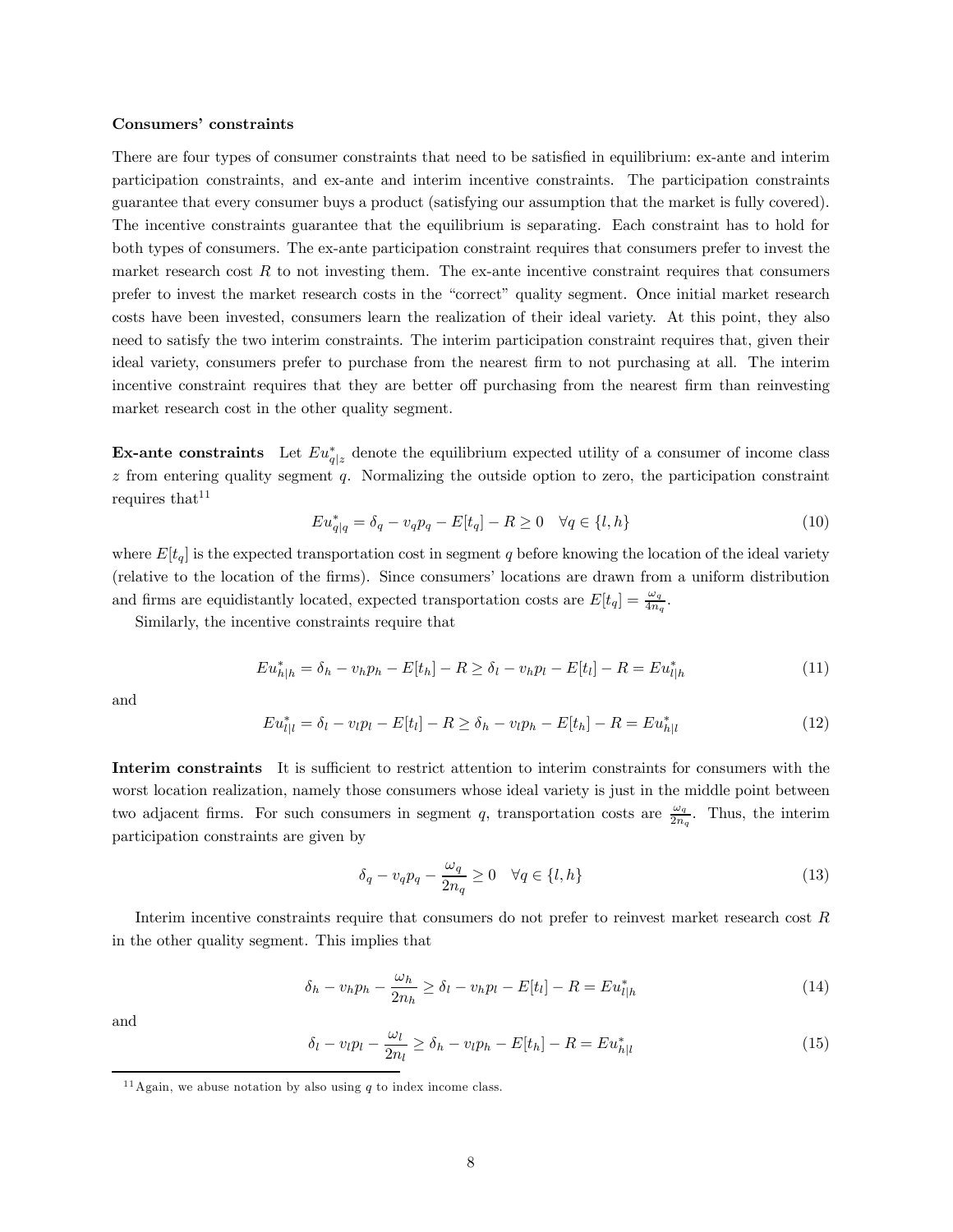#### Consumers' constraints

There are four types of consumer constraints that need to be satisfied in equilibrium: ex-ante and interim participation constraints, and ex-ante and interim incentive constraints. The participation constraints guarantee that every consumer buys a product (satisfying our assumption that the market is fully covered). The incentive constraints guarantee that the equilibrium is separating. Each constraint has to hold for both types of consumers. The ex-ante participation constraint requires that consumers prefer to invest the market research cost  $R$  to not investing them. The ex-ante incentive constraint requires that consumers prefer to invest the market research costs in the "correct" quality segment. Once initial market research costs have been invested, consumers learn the realization of their ideal variety. At this point, they also need to satisfy the two interim constraints. The interim participation constraint requires that, given their ideal variety, consumers prefer to purchase from the nearest firm to not purchasing at all. The interim incentive constraint requires that they are better off purchasing from the nearest firm than reinvesting market research cost in the other quality segment.

Ex-ante constraints Let  $Eu_{q|z}^*$  denote the equilibrium expected utility of a consumer of income class z from entering quality segment q. Normalizing the outside option to zero, the participation constraint requires that  $11$ 

$$
Eu_{q|q}^* = \delta_q - v_q p_q - E[t_q] - R \ge 0 \quad \forall q \in \{l, h\}
$$
\n
$$
(10)
$$

where  $E[t_q]$  is the expected transportation cost in segment q before knowing the location of the ideal variety (relative to the location of the firms). Since consumers' locations are drawn from a uniform distribution and firms are equidistantly located, expected transportation costs are  $E[t_q] = \frac{\omega_q}{4n_q}$ .

Similarly, the incentive constraints require that

$$
E u_{h|h}^* = \delta_h - v_h p_h - E[t_h] - R \ge \delta_l - v_h p_l - E[t_l] - R = E u_{l|h}^* \tag{11}
$$

and

$$
Eu_{l|l}^{*} = \delta_{l} - v_{l}p_{l} - E[t_{l}] - R \ge \delta_{h} - v_{l}p_{h} - E[t_{h}] - R = Eu_{h|l}^{*}
$$
\n(12)

Interim constraints It is sufficient to restrict attention to interim constraints for consumers with the worst location realization, namely those consumers whose ideal variety is just in the middle point between two adjacent firms. For such consumers in segment q, transportation costs are  $\frac{\omega_q}{2n_q}$ . Thus, the interim participation constraints are given by

$$
\delta_q - v_q p_q - \frac{\omega_q}{2n_q} \ge 0 \quad \forall q \in \{l, h\}
$$
\n
$$
(13)
$$

Interim incentive constraints require that consumers do not prefer to reinvest market research cost R in the other quality segment. This implies that

$$
\delta_h - v_h p_h - \frac{\omega_h}{2n_h} \ge \delta_l - v_h p_l - E[t_l] - R = E u_{l|h}^* \tag{14}
$$

and

$$
\delta_l - v_l p_l - \frac{\omega_l}{2n_l} \ge \delta_h - v_l p_h - E[t_h] - R = E u_{h|l}^* \tag{15}
$$

<sup>&</sup>lt;sup>11</sup> Again, we abuse notation by also using q to index income class.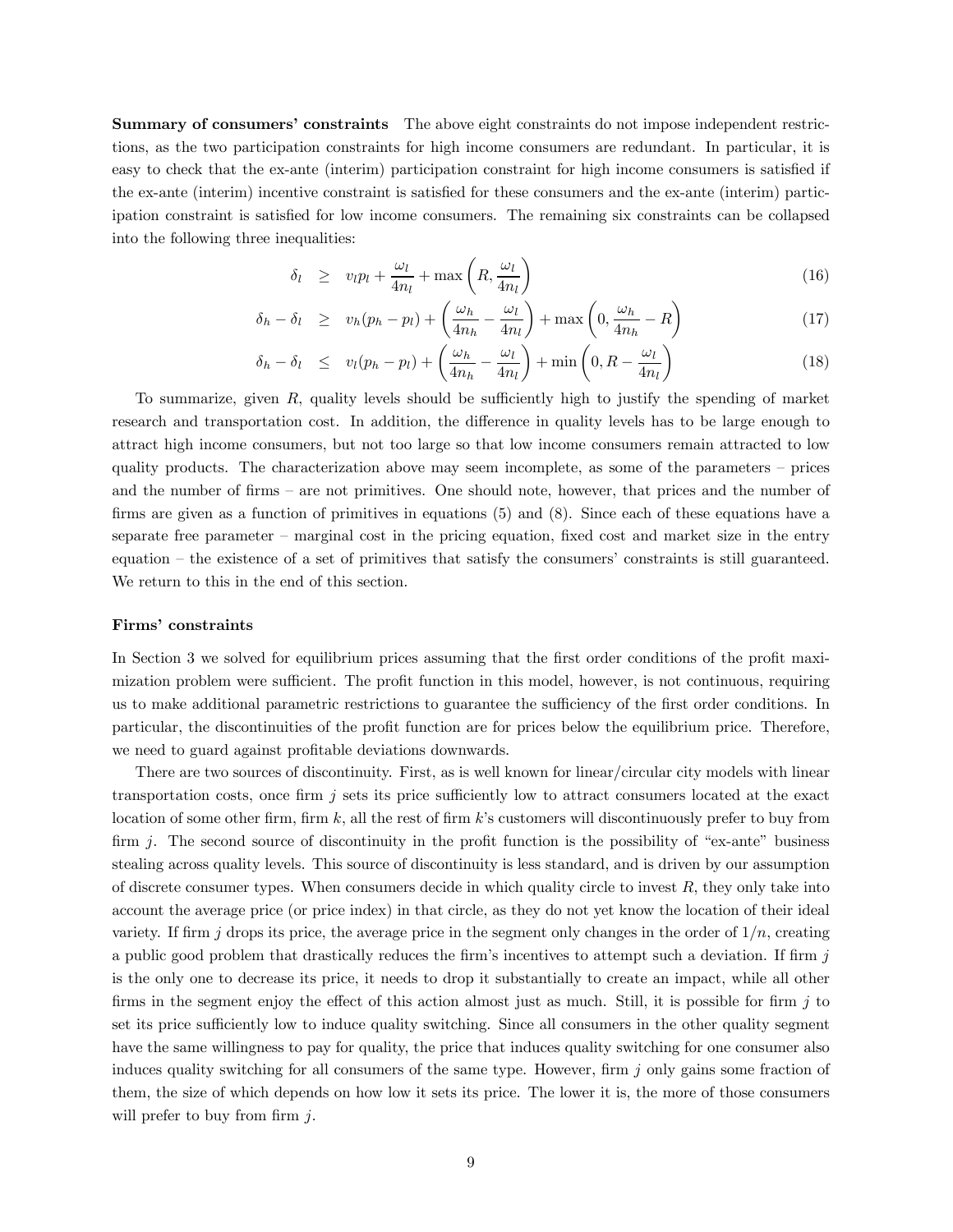Summary of consumers' constraints The above eight constraints do not impose independent restrictions, as the two participation constraints for high income consumers are redundant. In particular, it is easy to check that the ex-ante (interim) participation constraint for high income consumers is satisfied if the ex-ante (interim) incentive constraint is satisfied for these consumers and the ex-ante (interim) participation constraint is satisfied for low income consumers. The remaining six constraints can be collapsed into the following three inequalities:

$$
\delta_l \ge v_l p_l + \frac{\omega_l}{4n_l} + \max\left(R, \frac{\omega_l}{4n_l}\right) \tag{16}
$$

$$
\delta_h - \delta_l \geq v_h(p_h - p_l) + \left(\frac{\omega_h}{4n_h} - \frac{\omega_l}{4n_l}\right) + \max\left(0, \frac{\omega_h}{4n_h} - R\right) \tag{17}
$$

$$
\delta_h - \delta_l \le v_l(p_h - p_l) + \left(\frac{\omega_h}{4n_h} - \frac{\omega_l}{4n_l}\right) + \min\left(0, R - \frac{\omega_l}{4n_l}\right) \tag{18}
$$

To summarize, given  $R$ , quality levels should be sufficiently high to justify the spending of market research and transportation cost. In addition, the difference in quality levels has to be large enough to attract high income consumers, but not too large so that low income consumers remain attracted to low quality products. The characterization above may seem incomplete, as some of the parameters — prices and the number of firms — are not primitives. One should note, however, that prices and the number of firms are given as a function of primitives in equations (5) and (8). Since each of these equations have a separate free parameter — marginal cost in the pricing equation, fixed cost and market size in the entry equation — the existence of a set of primitives that satisfy the consumers' constraints is still guaranteed. We return to this in the end of this section.

### Firms' constraints

In Section 3 we solved for equilibrium prices assuming that the first order conditions of the profit maximization problem were sufficient. The profit function in this model, however, is not continuous, requiring us to make additional parametric restrictions to guarantee the sufficiency of the first order conditions. In particular, the discontinuities of the profit function are for prices below the equilibrium price. Therefore, we need to guard against profitable deviations downwards.

There are two sources of discontinuity. First, as is well known for linear/circular city models with linear transportation costs, once firm j sets its price sufficiently low to attract consumers located at the exact location of some other firm, firm  $k$ , all the rest of firm  $k$ 's customers will discontinuously prefer to buy from firm j. The second source of discontinuity in the profit function is the possibility of "ex-ante" business stealing across quality levels. This source of discontinuity is less standard, and is driven by our assumption of discrete consumer types. When consumers decide in which quality circle to invest  $R$ , they only take into account the average price (or price index) in that circle, as they do not yet know the location of their ideal variety. If firm j drops its price, the average price in the segment only changes in the order of  $1/n$ , creating a public good problem that drastically reduces the firm's incentives to attempt such a deviation. If firm  $j$ is the only one to decrease its price, it needs to drop it substantially to create an impact, while all other firms in the segment enjoy the effect of this action almost just as much. Still, it is possible for firm  $j$  to set its price sufficiently low to induce quality switching. Since all consumers in the other quality segment have the same willingness to pay for quality, the price that induces quality switching for one consumer also induces quality switching for all consumers of the same type. However, firm j only gains some fraction of them, the size of which depends on how low it sets its price. The lower it is, the more of those consumers will prefer to buy from firm  $j$ .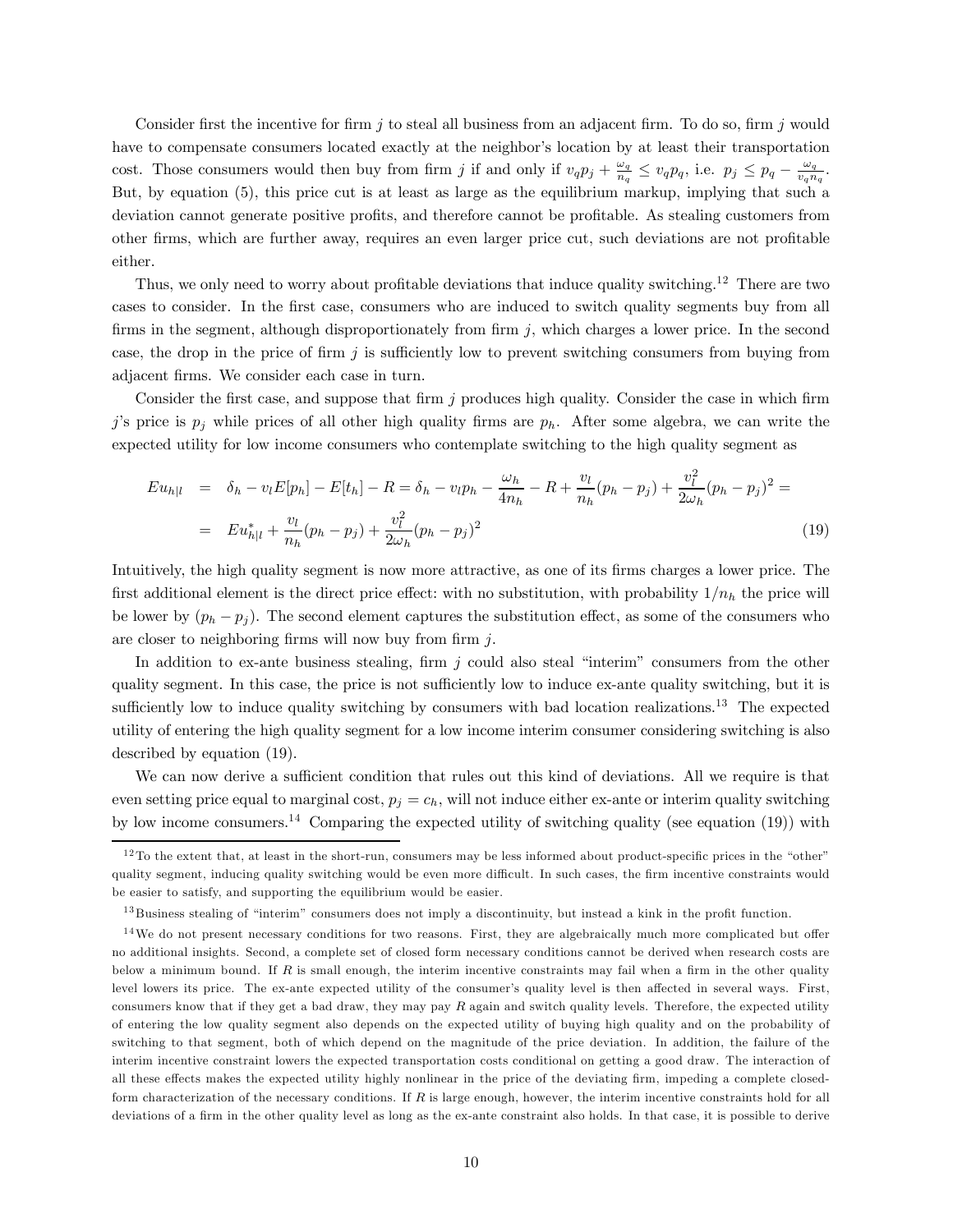Consider first the incentive for firm j to steal all business from an adjacent firm. To do so, firm j would have to compensate consumers located exactly at the neighbor's location by at least their transportation cost. Those consumers would then buy from firm j if and only if  $v_q p_j + \frac{\omega_q}{n_q} \le v_q p_q$ , i.e.  $p_j \le p_q - \frac{\omega_q}{v_q n_q}$ . But, by equation (5), this price cut is at least as large as the equilibrium markup, implying that such a deviation cannot generate positive profits, and therefore cannot be profitable. As stealing customers from other firms, which are further away, requires an even larger price cut, such deviations are not profitable either.

Thus, we only need to worry about profitable deviations that induce quality switching.<sup>12</sup> There are two cases to consider. In the first case, consumers who are induced to switch quality segments buy from all firms in the segment, although disproportionately from firm  $j$ , which charges a lower price. In the second case, the drop in the price of firm  $j$  is sufficiently low to prevent switching consumers from buying from adjacent firms. We consider each case in turn.

Consider the first case, and suppose that firm  $j$  produces high quality. Consider the case in which firm j's price is  $p_i$  while prices of all other high quality firms are  $p_h$ . After some algebra, we can write the expected utility for low income consumers who contemplate switching to the high quality segment as

$$
Eu_{h|l} = \delta_h - v_l E[p_h] - E[t_h] - R = \delta_h - v_l p_h - \frac{\omega_h}{4n_h} - R + \frac{v_l}{n_h}(p_h - p_j) + \frac{v_l^2}{2\omega_h}(p_h - p_j)^2 =
$$
  

$$
= Eu_{h|l}^* + \frac{v_l}{n_h}(p_h - p_j) + \frac{v_l^2}{2\omega_h}(p_h - p_j)^2
$$
(19)

Intuitively, the high quality segment is now more attractive, as one of its firms charges a lower price. The first additional element is the direct price effect: with no substitution, with probability  $1/n<sub>h</sub>$  the price will be lower by  $(p_h - p_j)$ . The second element captures the substitution effect, as some of the consumers who are closer to neighboring firms will now buy from firm j.

In addition to ex-ante business stealing, firm  $j$  could also steal "interim" consumers from the other quality segment. In this case, the price is not sufficiently low to induce ex-ante quality switching, but it is sufficiently low to induce quality switching by consumers with bad location realizations.<sup>13</sup> The expected utility of entering the high quality segment for a low income interim consumer considering switching is also described by equation (19).

We can now derive a sufficient condition that rules out this kind of deviations. All we require is that even setting price equal to marginal cost,  $p_i = c_h$ , will not induce either ex-ante or interim quality switching by low income consumers.<sup>14</sup> Comparing the expected utility of switching quality (see equation  $(19)$ ) with

 $12$ To the extent that, at least in the short-run, consumers may be less informed about product-specific prices in the "other" quality segment, inducing quality switching would be even more difficult. In such cases, the firm incentive constraints would be easier to satisfy, and supporting the equilibrium would be easier.

<sup>&</sup>lt;sup>13</sup> Business stealing of "interim" consumers does not imply a discontinuity, but instead a kink in the profit function.

 $14$ We do not present necessary conditions for two reasons. First, they are algebraically much more complicated but offer no additional insights. Second, a complete set of closed form necessary conditions cannot be derived when research costs are below a minimum bound. If  $R$  is small enough, the interim incentive constraints may fail when a firm in the other quality level lowers its price. The ex-ante expected utility of the consumer's quality level is then affected in several ways. First, consumers know that if they get a bad draw, they may pay  $R$  again and switch quality levels. Therefore, the expected utility of entering the low quality segment also depends on the expected utility of buying high quality and on the probability of switching to that segment, both of which depend on the magnitude of the price deviation. In addition, the failure of the interim incentive constraint lowers the expected transportation costs conditional on getting a good draw. The interaction of all these effects makes the expected utility highly nonlinear in the price of the deviating firm, impeding a complete closedform characterization of the necessary conditions. If  $R$  is large enough, however, the interim incentive constraints hold for all deviations of a firm in the other quality level as long as the ex-ante constraint also holds. In that case, it is possible to derive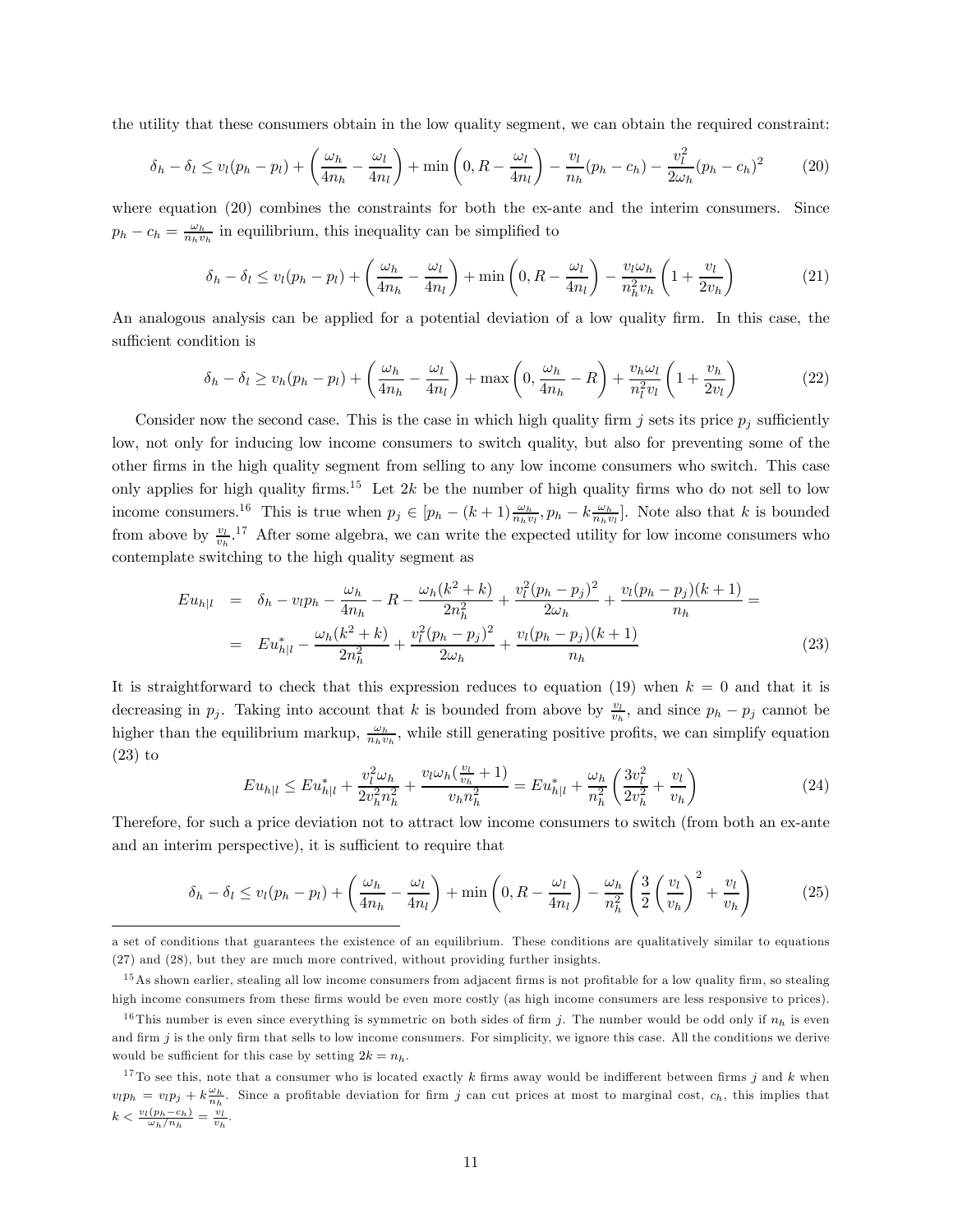the utility that these consumers obtain in the low quality segment, we can obtain the required constraint:

$$
\delta_h - \delta_l \le v_l(p_h - p_l) + \left(\frac{\omega_h}{4n_h} - \frac{\omega_l}{4n_l}\right) + \min\left(0, R - \frac{\omega_l}{4n_l}\right) - \frac{v_l}{n_h}(p_h - c_h) - \frac{v_l^2}{2\omega_h}(p_h - c_h)^2 \tag{20}
$$

where equation (20) combines the constraints for both the ex-ante and the interim consumers. Since  $p_h - c_h = \frac{\omega_h}{n_h v_h}$  in equilibrium, this inequality can be simplified to

$$
\delta_h - \delta_l \le v_l (p_h - p_l) + \left(\frac{\omega_h}{4n_h} - \frac{\omega_l}{4n_l}\right) + \min\left(0, R - \frac{\omega_l}{4n_l}\right) - \frac{v_l \omega_h}{n_h^2 v_h} \left(1 + \frac{v_l}{2v_h}\right) \tag{21}
$$

An analogous analysis can be applied for a potential deviation of a low quality firm. In this case, the sufficient condition is

$$
\delta_h - \delta_l \ge v_h(p_h - p_l) + \left(\frac{\omega_h}{4n_h} - \frac{\omega_l}{4n_l}\right) + \max\left(0, \frac{\omega_h}{4n_h} - R\right) + \frac{v_h \omega_l}{n_l^2 v_l} \left(1 + \frac{v_h}{2v_l}\right) \tag{22}
$$

Consider now the second case. This is the case in which high quality firm j sets its price  $p_j$  sufficiently low, not only for inducing low income consumers to switch quality, but also for preventing some of the other firms in the high quality segment from selling to any low income consumers who switch. This case only applies for high quality firms.<sup>15</sup> Let  $2k$  be the number of high quality firms who do not sell to low income consumers.<sup>16</sup> This is true when  $p_j \in [p_h - (k+1) \frac{\omega_h}{n_h v_l}, p_h - k \frac{\omega_h}{n_h v_l}]$ . Note also that k is bounded from above by  $\frac{v_l}{v_h}$ .<sup>17</sup> After some algebra, we can write the expected utility for low income consumers who contemplate switching to the high quality segment as

$$
Eu_{h|l} = \delta_h - v_l p_h - \frac{\omega_h}{4n_h} - R - \frac{\omega_h (k^2 + k)}{2n_h^2} + \frac{v_l^2 (p_h - p_j)^2}{2\omega_h} + \frac{v_l (p_h - p_j)(k+1)}{n_h} =
$$
  

$$
= Eu_{h|l}^* - \frac{\omega_h (k^2 + k)}{2n_h^2} + \frac{v_l^2 (p_h - p_j)^2}{2\omega_h} + \frac{v_l (p_h - p_j)(k+1)}{n_h}
$$
(23)

It is straightforward to check that this expression reduces to equation (19) when  $k = 0$  and that it is decreasing in  $p_j$ . Taking into account that k is bounded from above by  $\frac{v_l}{v_h}$ , and since  $p_h - p_j$  cannot be higher than the equilibrium markup,  $\frac{\omega_h}{n_h v_h}$ , while still generating positive profits, we can simplify equation (23) to

$$
E u_{h|l} \le E u_{h|l}^* + \frac{v_l^2 \omega_h}{2v_h^2 n_h^2} + \frac{v_l \omega_h (\frac{v_l}{v_h} + 1)}{v_h n_h^2} = E u_{h|l}^* + \frac{\omega_h}{n_h^2} \left(\frac{3v_l^2}{2v_h^2} + \frac{v_l}{v_h}\right)
$$
(24)

Therefore, for such a price deviation not to attract low income consumers to switch (from both an ex-ante and an interim perspective), it is sufficient to require that

$$
\delta_h - \delta_l \le v_l (p_h - p_l) + \left(\frac{\omega_h}{4n_h} - \frac{\omega_l}{4n_l}\right) + \min\left(0, R - \frac{\omega_l}{4n_l}\right) - \frac{\omega_h}{n_h^2} \left(\frac{3}{2}\left(\frac{v_l}{v_h}\right)^2 + \frac{v_l}{v_h}\right) \tag{25}
$$

a set of conditions that guarantees the existence of an equilibrium. These conditions are qualitatively similar to equations (27) and (28), but they are much more contrived, without providing further insights.

<sup>&</sup>lt;sup>15</sup>As shown earlier, stealing all low income consumers from adjacent firms is not profitable for a low quality firm, so stealing high income consumers from these firms would be even more costly (as high income consumers are less responsive to prices).

<sup>&</sup>lt;sup>16</sup>This number is even since everything is symmetric on both sides of firm j. The number would be odd only if  $n_h$  is even and firm  $j$  is the only firm that sells to low income consumers. For simplicity, we ignore this case. All the conditions we derive would be sufficient for this case by setting  $2k = n_h$ .

<sup>&</sup>lt;sup>17</sup>To see this, note that a consumer who is located exactly k firms away would be indifferent between firms j and k when  $v_l p_h = v_l p_j + k \frac{\omega_h}{n_h}$ . Since a profitable deviation for firm j can cut prices at most to marginal cost,  $c_h$ , this implies that  $k < \frac{v_l(p_h - c_h)}{\omega_h/n_h} = \frac{v_l}{v_h}.$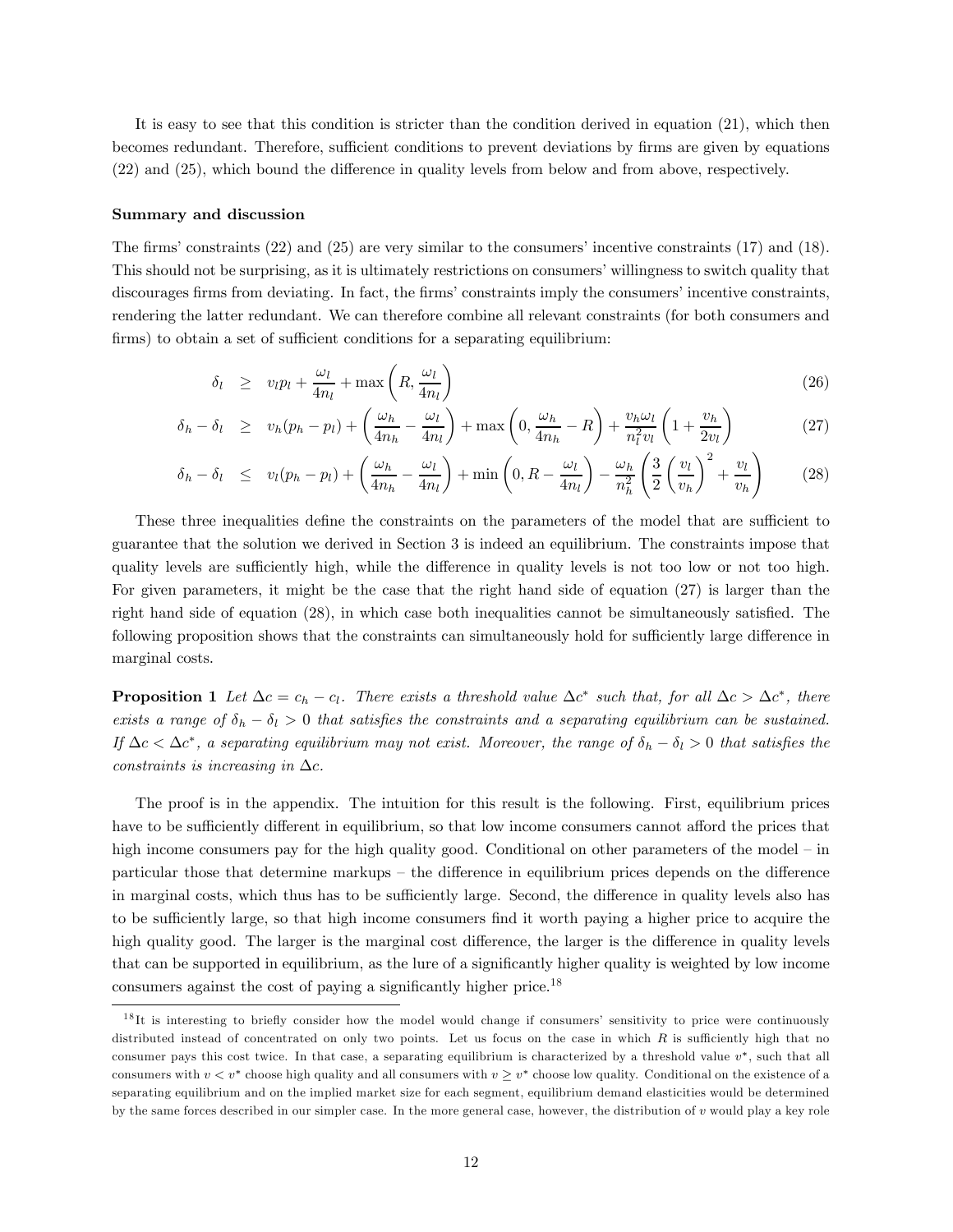It is easy to see that this condition is stricter than the condition derived in equation (21), which then becomes redundant. Therefore, sufficient conditions to prevent deviations by firms are given by equations (22) and (25), which bound the difference in quality levels from below and from above, respectively.

### Summary and discussion

The firms' constraints (22) and (25) are very similar to the consumers' incentive constraints (17) and (18). This should not be surprising, as it is ultimately restrictions on consumers' willingness to switch quality that discourages firms from deviating. In fact, the firms' constraints imply the consumers' incentive constraints, rendering the latter redundant. We can therefore combine all relevant constraints (for both consumers and firms) to obtain a set of sufficient conditions for a separating equilibrium:

$$
\delta_l \ge v_l p_l + \frac{\omega_l}{4n_l} + \max\left(R, \frac{\omega_l}{4n_l}\right) \tag{26}
$$

$$
\delta_h - \delta_l \geq v_h(p_h - p_l) + \left(\frac{\omega_h}{4n_h} - \frac{\omega_l}{4n_l}\right) + \max\left(0, \frac{\omega_h}{4n_h} - R\right) + \frac{v_h \omega_l}{n_l^2 v_l} \left(1 + \frac{v_h}{2v_l}\right) \tag{27}
$$

$$
\delta_h - \delta_l \leq v_l(p_h - p_l) + \left(\frac{\omega_h}{4n_h} - \frac{\omega_l}{4n_l}\right) + \min\left(0, R - \frac{\omega_l}{4n_l}\right) - \frac{\omega_h}{n_h^2} \left(\frac{3}{2}\left(\frac{v_l}{v_h}\right)^2 + \frac{v_l}{v_h}\right) \tag{28}
$$

These three inequalities define the constraints on the parameters of the model that are sufficient to guarantee that the solution we derived in Section 3 is indeed an equilibrium. The constraints impose that quality levels are sufficiently high, while the difference in quality levels is not too low or not too high. For given parameters, it might be the case that the right hand side of equation (27) is larger than the right hand side of equation (28), in which case both inequalities cannot be simultaneously satisfied. The following proposition shows that the constraints can simultaneously hold for sufficiently large difference in marginal costs.

**Proposition 1** Let  $\Delta c = c_h - c_l$ . There exists a threshold value  $\Delta c^*$  such that, for all  $\Delta c > \Delta c^*$ , there exists a range of  $\delta_h - \delta_l > 0$  that satisfies the constraints and a separating equilibrium can be sustained. If  $\Delta c < \Delta c^*$ , a separating equilibrium may not exist. Moreover, the range of  $\delta_h - \delta_l > 0$  that satisfies the constraints is increasing in  $\Delta c$ .

The proof is in the appendix. The intuition for this result is the following. First, equilibrium prices have to be sufficiently different in equilibrium, so that low income consumers cannot afford the prices that high income consumers pay for the high quality good. Conditional on other parameters of the model – in particular those that determine markups — the difference in equilibrium prices depends on the difference in marginal costs, which thus has to be sufficiently large. Second, the difference in quality levels also has to be sufficiently large, so that high income consumers find it worth paying a higher price to acquire the high quality good. The larger is the marginal cost difference, the larger is the difference in quality levels that can be supported in equilibrium, as the lure of a significantly higher quality is weighted by low income consumers against the cost of paying a significantly higher price.<sup>18</sup>

 $18$ It is interesting to briefly consider how the model would change if consumers' sensitivity to price were continuously distributed instead of concentrated on only two points. Let us focus on the case in which  $R$  is sufficiently high that no consumer pays this cost twice. In that case, a separating equilibrium is characterized by a threshold value  $v^*$ , such that all consumers with  $v < v^*$  choose high quality and all consumers with  $v \geq v^*$  choose low quality. Conditional on the existence of a separating equilibrium and on the implied market size for each segment, equilibrium demand elasticities would be determined by the same forces described in our simpler case. In the more general case, however, the distribution of v would play a key role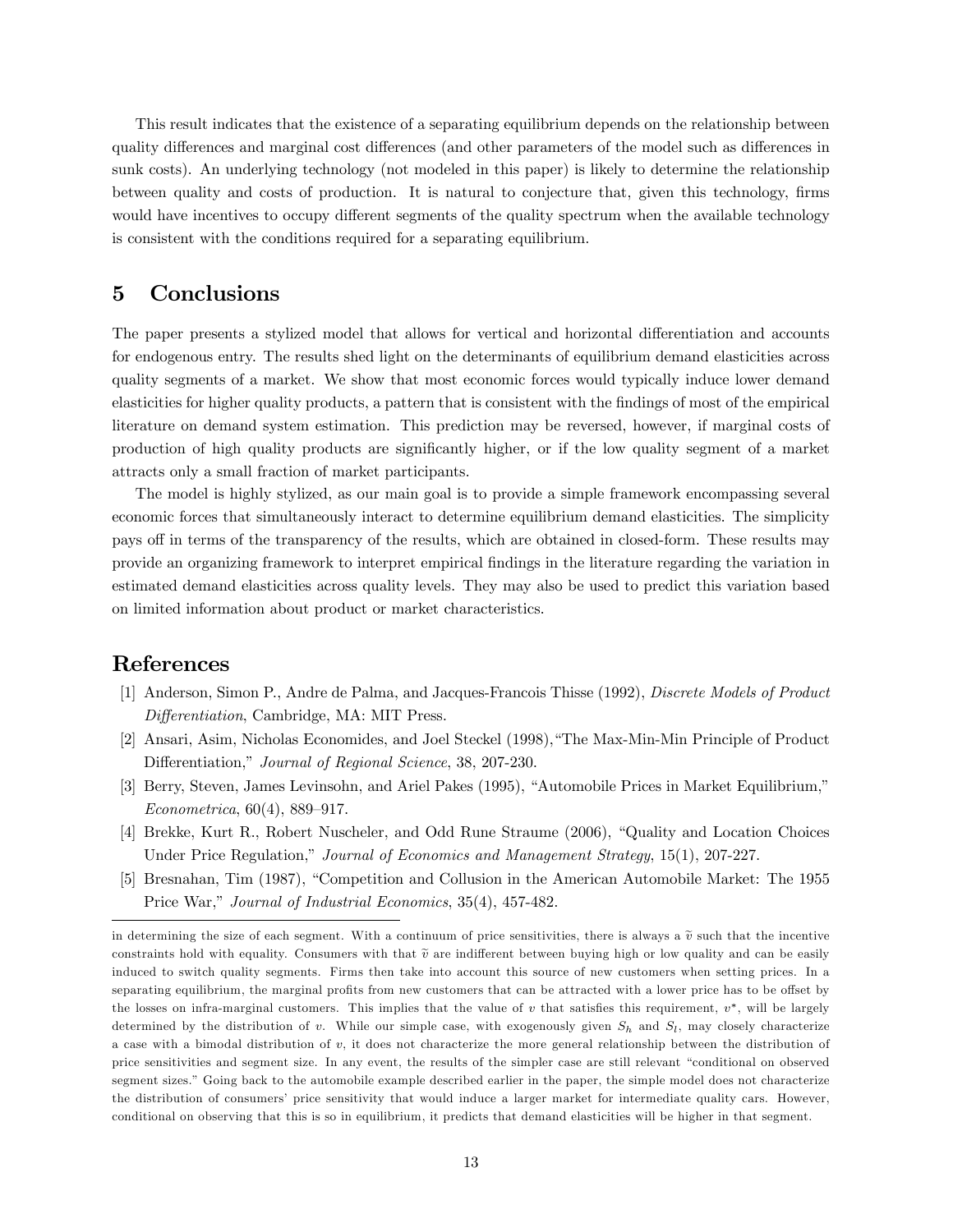This result indicates that the existence of a separating equilibrium depends on the relationship between quality differences and marginal cost differences (and other parameters of the model such as differences in sunk costs). An underlying technology (not modeled in this paper) is likely to determine the relationship between quality and costs of production. It is natural to conjecture that, given this technology, firms would have incentives to occupy different segments of the quality spectrum when the available technology is consistent with the conditions required for a separating equilibrium.

## 5 Conclusions

The paper presents a stylized model that allows for vertical and horizontal differentiation and accounts for endogenous entry. The results shed light on the determinants of equilibrium demand elasticities across quality segments of a market. We show that most economic forces would typically induce lower demand elasticities for higher quality products, a pattern that is consistent with the findings of most of the empirical literature on demand system estimation. This prediction may be reversed, however, if marginal costs of production of high quality products are significantly higher, or if the low quality segment of a market attracts only a small fraction of market participants.

The model is highly stylized, as our main goal is to provide a simple framework encompassing several economic forces that simultaneously interact to determine equilibrium demand elasticities. The simplicity pays off in terms of the transparency of the results, which are obtained in closed-form. These results may provide an organizing framework to interpret empirical findings in the literature regarding the variation in estimated demand elasticities across quality levels. They may also be used to predict this variation based on limited information about product or market characteristics.

### References

- [1] Anderson, Simon P., Andre de Palma, and Jacques-Francois Thisse (1992), Discrete Models of Product Differentiation, Cambridge, MA: MIT Press.
- [2] Ansari, Asim, Nicholas Economides, and Joel Steckel (1998),"The Max-Min-Min Principle of Product Differentiation," Journal of Regional Science, 38, 207-230.
- [3] Berry, Steven, James Levinsohn, and Ariel Pakes (1995), "Automobile Prices in Market Equilibrium," Econometrica, 60(4), 889—917.
- [4] Brekke, Kurt R., Robert Nuscheler, and Odd Rune Straume (2006), "Quality and Location Choices Under Price Regulation," Journal of Economics and Management Strategy, 15(1), 207-227.
- [5] Bresnahan, Tim (1987), "Competition and Collusion in the American Automobile Market: The 1955 Price War," Journal of Industrial Economics, 35(4), 457-482.

in determining the size of each segment. With a continuum of price sensitivities, there is always a  $\tilde{v}$  such that the incentive constraints hold with equality. Consumers with that  $\tilde{v}$  are indifferent between buying high or low quality and can be easily induced to switch quality segments. Firms then take into account this source of new customers when setting prices. In a separating equilibrium, the marginal profits from new customers that can be attracted with a lower price has to be offset by the losses on infra-marginal customers. This implies that the value of v that satisfies this requirement,  $v^*$ , will be largely determined by the distribution of v. While our simple case, with exogenously given  $S_h$  and  $S_l$ , may closely characterize a case with a bimodal distribution of  $v$ , it does not characterize the more general relationship between the distribution of price sensitivities and segment size. In any event, the results of the simpler case are still relevant "conditional on observed segment sizes." Going back to the automobile example described earlier in the paper, the simple model does not characterize the distribution of consumers' price sensitivity that would induce a larger market for intermediate quality cars. However, conditional on observing that this is so in equilibrium, it predicts that demand elasticities will be higher in that segment.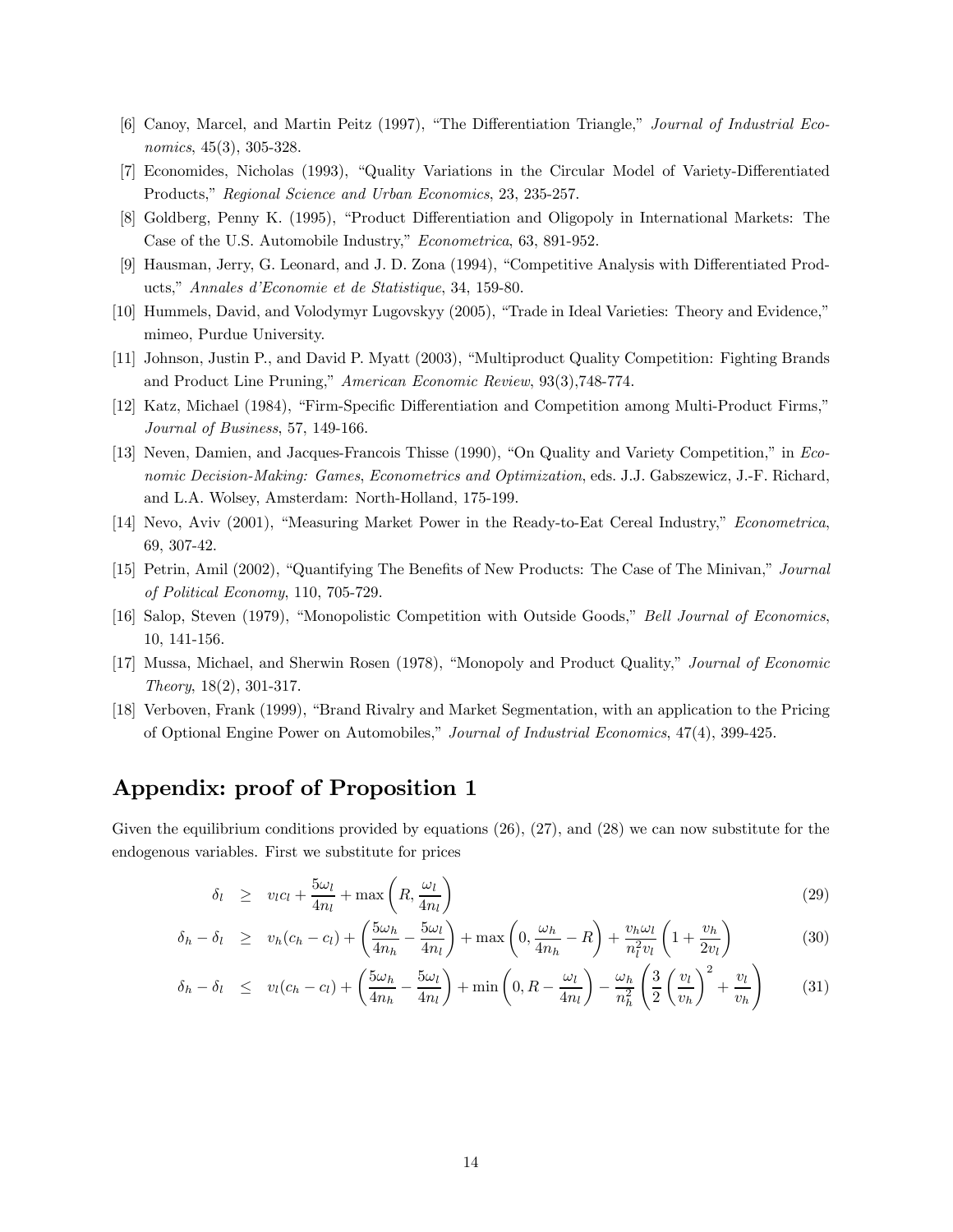- [6] Canoy, Marcel, and Martin Peitz (1997), "The Differentiation Triangle," Journal of Industrial Economics, 45(3), 305-328.
- [7] Economides, Nicholas (1993), "Quality Variations in the Circular Model of Variety-Differentiated Products," Regional Science and Urban Economics, 23, 235-257.
- [8] Goldberg, Penny K. (1995), "Product Differentiation and Oligopoly in International Markets: The Case of the U.S. Automobile Industry," Econometrica, 63, 891-952.
- [9] Hausman, Jerry, G. Leonard, and J. D. Zona (1994), "Competitive Analysis with Differentiated Products," Annales d'Economie et de Statistique, 34, 159-80.
- [10] Hummels, David, and Volodymyr Lugovskyy (2005), "Trade in Ideal Varieties: Theory and Evidence," mimeo, Purdue University.
- [11] Johnson, Justin P., and David P. Myatt (2003), "Multiproduct Quality Competition: Fighting Brands and Product Line Pruning," American Economic Review, 93(3),748-774.
- [12] Katz, Michael (1984), "Firm-Specific Differentiation and Competition among Multi-Product Firms," Journal of Business, 57, 149-166.
- [13] Neven, Damien, and Jacques-Francois Thisse (1990), "On Quality and Variety Competition," in Economic Decision-Making: Games, Econometrics and Optimization, eds. J.J. Gabszewicz, J.-F. Richard, and L.A. Wolsey, Amsterdam: North-Holland, 175-199.
- [14] Nevo, Aviv (2001), "Measuring Market Power in the Ready-to-Eat Cereal Industry," Econometrica, 69, 307-42.
- [15] Petrin, Amil (2002), "Quantifying The Benefits of New Products: The Case of The Minivan," Journal of Political Economy, 110, 705-729.
- [16] Salop, Steven (1979), "Monopolistic Competition with Outside Goods," Bell Journal of Economics, 10, 141-156.
- [17] Mussa, Michael, and Sherwin Rosen (1978), "Monopoly and Product Quality," Journal of Economic Theory, 18(2), 301-317.
- [18] Verboven, Frank (1999), "Brand Rivalry and Market Segmentation, with an application to the Pricing of Optional Engine Power on Automobiles," Journal of Industrial Economics, 47(4), 399-425.

# Appendix: proof of Proposition 1

Given the equilibrium conditions provided by equations (26), (27), and (28) we can now substitute for the endogenous variables. First we substitute for prices

$$
\delta_l \ge v_l c_l + \frac{5\omega_l}{4n_l} + \max\left(R, \frac{\omega_l}{4n_l}\right) \tag{29}
$$

$$
\delta_h - \delta_l \geq v_h(c_h - c_l) + \left(\frac{5\omega_h}{4n_h} - \frac{5\omega_l}{4n_l}\right) + \max\left(0, \frac{\omega_h}{4n_h} - R\right) + \frac{v_h\omega_l}{n_l^2 v_l} \left(1 + \frac{v_h}{2v_l}\right) \tag{30}
$$

$$
\delta_h - \delta_l \leq v_l(c_h - c_l) + \left(\frac{5\omega_h}{4n_h} - \frac{5\omega_l}{4n_l}\right) + \min\left(0, R - \frac{\omega_l}{4n_l}\right) - \frac{\omega_h}{n_h^2} \left(\frac{3}{2}\left(\frac{v_l}{v_h}\right)^2 + \frac{v_l}{v_h}\right) \tag{31}
$$